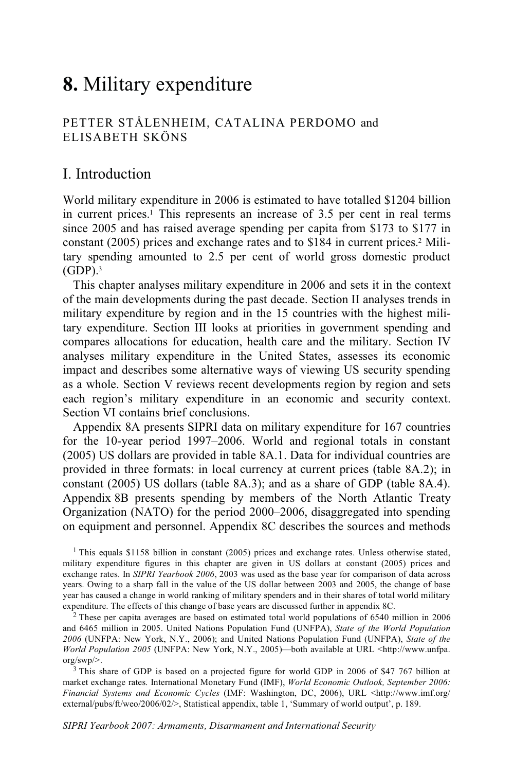# **8.** Military expenditure

### PETTER STÅLENHEIM, CATALINA PERDOMO and ELISABETH SKÖNS

## I. Introduction

World military expenditure in 2006 is estimated to have totalled \$1204 billion in current prices.1 This represents an increase of 3.5 per cent in real terms since 2005 and has raised average spending per capita from \$173 to \$177 in constant (2005) prices and exchange rates and to \$184 in current prices.2 Military spending amounted to 2.5 per cent of world gross domestic product  $(GDP).$ <sup>3</sup>

This chapter analyses military expenditure in 2006 and sets it in the context of the main developments during the past decade. Section II analyses trends in military expenditure by region and in the 15 countries with the highest military expenditure. Section III looks at priorities in government spending and compares allocations for education, health care and the military. Section IV analyses military expenditure in the United States, assesses its economic impact and describes some alternative ways of viewing US security spending as a whole. Section V reviews recent developments region by region and sets each region's military expenditure in an economic and security context. Section VI contains brief conclusions.

Appendix 8A presents SIPRI data on military expenditure for 167 countries for the 10-year period 1997–2006. World and regional totals in constant (2005) US dollars are provided in table 8A.1. Data for individual countries are provided in three formats: in local currency at current prices (table 8A.2); in constant (2005) US dollars (table 8A.3); and as a share of GDP (table 8A.4). Appendix 8B presents spending by members of the North Atlantic Treaty Organization (NATO) for the period 2000–2006, disaggregated into spending on equipment and personnel. Appendix 8C describes the sources and methods

<sup>1</sup> This equals \$1158 billion in constant (2005) prices and exchange rates. Unless otherwise stated, military expenditure figures in this chapter are given in US dollars at constant (2005) prices and exchange rates. In *SIPRI Yearbook 2006*, 2003 was used as the base year for comparison of data across years. Owing to a sharp fall in the value of the US dollar between 2003 and 2005, the change of base year has caused a change in world ranking of military spenders and in their shares of total world military expenditure. The effects of this change of base years are discussed further in appendix 8C.

<sup>2</sup> These per capita averages are based on estimated total world populations of 6540 million in 2006 and 6465 million in 2005. United Nations Population Fund (UNFPA), *State of the World Population 2006* (UNFPA: New York, N.Y., 2006); and United Nations Population Fund (UNFPA), *State of the World Population 2005* (UNFPA: New York, N.Y., 2005)—both available at URL <http://www.unfpa. org/swp/>.<br><sup>3</sup> This share of GDP is based on a projected figure for world GDP in 2006 of \$47 767 billion at

market exchange rates. International Monetary Fund (IMF), *World Economic Outlook, September 2006: Financial Systems and Economic Cycles* (IMF: Washington, DC, 2006), URL <http://www.imf.org/ external/pubs/ft/weo/2006/02/>, Statistical appendix, table 1, 'Summary of world output', p. 189.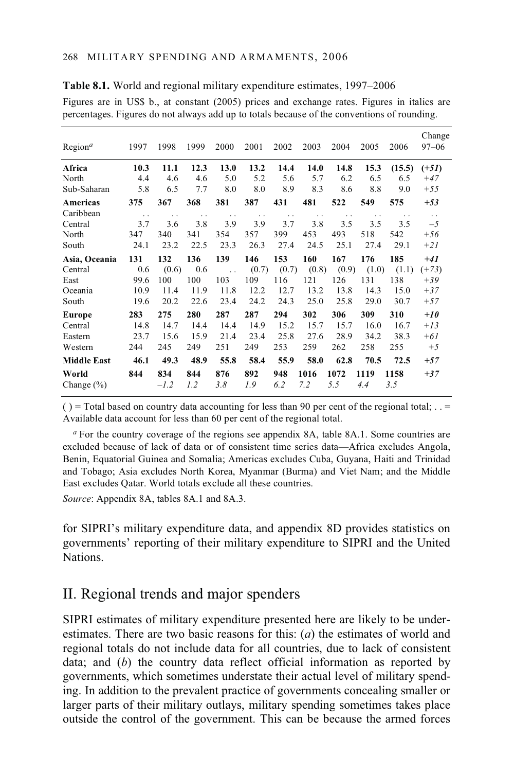| Region <sup>a</sup> | 1997                 | 1998                 | 1999                 | 2000                 | 2001      | 2002                 | 2003                 | 2004                 | 2005                 | 2006                 | Change<br>$97 - 06$    |
|---------------------|----------------------|----------------------|----------------------|----------------------|-----------|----------------------|----------------------|----------------------|----------------------|----------------------|------------------------|
| Africa              | 10.3                 | 11.1                 | 12.3                 | 13.0                 | 13.2      | 14.4                 | 14.0                 | 14.8                 | 15.3                 | (15.5)               | $(+51)$                |
| North               | 4.4                  | 4.6                  | 4.6                  | 5.0                  | 5.2       | 5.6                  | 5.7                  | 6.2                  | 6.5                  | 6.5                  | $+47$                  |
| Sub-Saharan         | 5.8                  | 6.5                  | 7.7                  | 8.0                  | 8.0       | 8.9                  | 8.3                  | 8.6                  | 8.8                  | 9.0                  | $+55$                  |
| Americas            | 375                  | 367                  | 368                  | 381                  | 387       | 431                  | 481                  | 522                  | 549                  | 575                  | $+53$                  |
| Caribbean           | $\ddot{\phantom{0}}$ | $\ddot{\phantom{0}}$ | $\ddot{\phantom{0}}$ | $\ddot{\phantom{0}}$ | $\cdot$ . | $\ddot{\phantom{0}}$ | $\ddot{\phantom{0}}$ | $\ddot{\phantom{0}}$ | $\ddot{\phantom{0}}$ | $\ddot{\phantom{0}}$ | $\ddot{\phantom{a}}$ . |
| Central             | 3.7                  | 3.6                  | 3.8                  | 3.9                  | 3.9       | 3.7                  | 3.8                  | 3.5                  | 3.5                  | 3.5                  | $-5$                   |
| North               | 347                  | 340                  | 341                  | 354                  | 357       | 399                  | 453                  | 493                  | 518                  | 542                  | $+56$                  |
| South               | 24.1                 | 23.2                 | 22.5                 | 23.3                 | 26.3      | 27.4                 | 24.5                 | 25.1                 | 27.4                 | 29.1                 | $+21$                  |
| Asia, Oceania       | 131                  | 132                  | 136                  | 139                  | 146       | 153                  | 160                  | 167                  | 176                  | 185                  | $+41$                  |
| Central             | 0.6                  | (0.6)                | 0.6                  | $\ddot{\phantom{a}}$ | (0.7)     | (0.7)                | (0.8)                | (0.9)                | (1.0)                | (1.1)                | $(+73)$                |
| East                | 99.6                 | 100                  | 100                  | 103                  | 109       | 116                  | 121                  | 126                  | 131                  | 138                  | $+39$                  |
| Oceania             | 10.9                 | 11.4                 | 11.9                 | 11.8                 | 12.2      | 12.7                 | 13.2                 | 13.8                 | 14.3                 | 15.0                 | $+37$                  |
| South               | 19.6                 | 20.2                 | 22.6                 | 23.4                 | 24.2      | 24.3                 | 25.0                 | 25.8                 | 29.0                 | 30.7                 | $+57$                  |
| <b>Europe</b>       | 283                  | 275                  | 280                  | 287                  | 287       | 294                  | 302                  | 306                  | 309                  | 310                  | $+10$                  |
| Central             | 14.8                 | 14.7                 | 14.4                 | 14.4                 | 14.9      | 15.2                 | 15.7                 | 15.7                 | 16.0                 | 16.7                 | $+13$                  |
| Eastern             | 23.7                 | 15.6                 | 15.9                 | 21.4                 | 23.4      | 25.8                 | 27.6                 | 28.9                 | 34.2                 | 38.3                 | $+61$                  |
| Western             | 244                  | 245                  | 249                  | 251                  | 249       | 253                  | 259                  | 262                  | 258                  | 255                  | $+5$                   |
| <b>Middle East</b>  | 46.1                 | 49.3                 | 48.9                 | 55.8                 | 58.4      | 55.9                 | 58.0                 | 62.8                 | 70.5                 | 72.5                 | $+57$                  |
| World               | 844                  | 834                  | 844                  | 876                  | 892       | 948                  | 1016                 | 1072                 | 1119                 | 1158                 | $+37$                  |
| Change $(\% )$      |                      | $-l.2$               | 1.2                  | 3.8                  | 1.9       | 6.2                  | 7.2                  | 5.5                  | 4.4                  | 3.5                  |                        |
|                     |                      |                      |                      |                      |           |                      |                      |                      |                      |                      |                        |

**Table 8.1.** World and regional military expenditure estimates, 1997–2006

Figures are in US\$ b., at constant (2005) prices and exchange rates. Figures in italics are percentages. Figures do not always add up to totals because of the conventions of rounding.

( $)$  = Total based on country data accounting for less than 90 per cent of the regional total; . . = Available data account for less than 60 per cent of the regional total.

*<sup>a</sup>* For the country coverage of the regions see appendix 8A, table 8A.1. Some countries are excluded because of lack of data or of consistent time series data—Africa excludes Angola, Benin, Equatorial Guinea and Somalia; Americas excludes Cuba, Guyana, Haiti and Trinidad and Tobago; Asia excludes North Korea, Myanmar (Burma) and Viet Nam; and the Middle East excludes Qatar. World totals exclude all these countries.

*Source*: Appendix 8A, tables 8A.1 and 8A.3.

for SIPRI's military expenditure data, and appendix 8D provides statistics on governments' reporting of their military expenditure to SIPRI and the United Nations.

# II. Regional trends and major spenders

SIPRI estimates of military expenditure presented here are likely to be underestimates. There are two basic reasons for this: (*a*) the estimates of world and regional totals do not include data for all countries, due to lack of consistent data; and (*b*) the country data reflect official information as reported by governments, which sometimes understate their actual level of military spending. In addition to the prevalent practice of governments concealing smaller or larger parts of their military outlays, military spending sometimes takes place outside the control of the government. This can be because the armed forces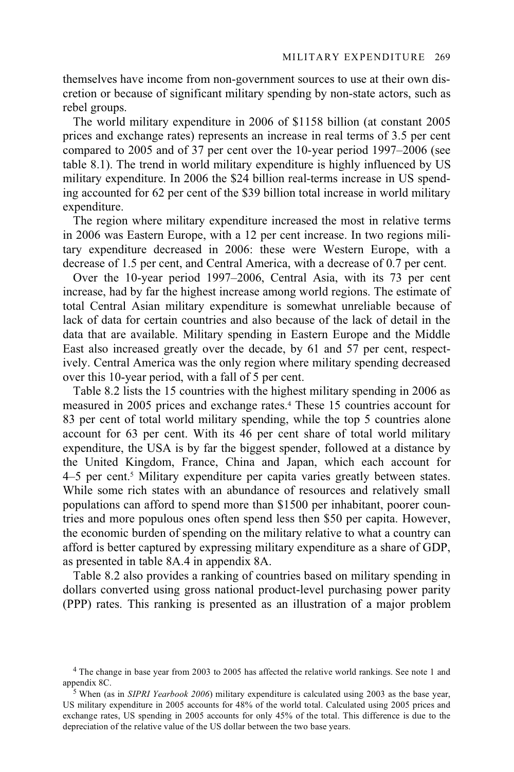themselves have income from non-government sources to use at their own discretion or because of significant military spending by non-state actors, such as rebel groups.

The world military expenditure in 2006 of \$1158 billion (at constant 2005 prices and exchange rates) represents an increase in real terms of 3.5 per cent compared to 2005 and of 37 per cent over the 10-year period 1997–2006 (see table 8.1). The trend in world military expenditure is highly influenced by US military expenditure. In 2006 the \$24 billion real-terms increase in US spending accounted for 62 per cent of the \$39 billion total increase in world military expenditure.

The region where military expenditure increased the most in relative terms in 2006 was Eastern Europe, with a 12 per cent increase. In two regions military expenditure decreased in 2006: these were Western Europe, with a decrease of 1.5 per cent, and Central America, with a decrease of 0.7 per cent.

Over the 10-year period 1997–2006, Central Asia, with its 73 per cent increase, had by far the highest increase among world regions. The estimate of total Central Asian military expenditure is somewhat unreliable because of lack of data for certain countries and also because of the lack of detail in the data that are available. Military spending in Eastern Europe and the Middle East also increased greatly over the decade, by 61 and 57 per cent, respectively. Central America was the only region where military spending decreased over this 10-year period, with a fall of 5 per cent.

Table 8.2 lists the 15 countries with the highest military spending in 2006 as measured in 2005 prices and exchange rates.4 These 15 countries account for 83 per cent of total world military spending, while the top 5 countries alone account for 63 per cent. With its 46 per cent share of total world military expenditure, the USA is by far the biggest spender, followed at a distance by the United Kingdom, France, China and Japan, which each account for 4–5 per cent.<sup>5</sup> Military expenditure per capita varies greatly between states. While some rich states with an abundance of resources and relatively small populations can afford to spend more than \$1500 per inhabitant, poorer countries and more populous ones often spend less then \$50 per capita. However, the economic burden of spending on the military relative to what a country can afford is better captured by expressing military expenditure as a share of GDP, as presented in table 8A.4 in appendix 8A.

Table 8.2 also provides a ranking of countries based on military spending in dollars converted using gross national product-level purchasing power parity (PPP) rates. This ranking is presented as an illustration of a major problem

<sup>4</sup> The change in base year from 2003 to 2005 has affected the relative world rankings. See note 1 and appendix 8C. 5 When (as in *SIPRI Yearbook 2006*) military expenditure is calculated using 2003 as the base year,

US military expenditure in 2005 accounts for 48% of the world total. Calculated using 2005 prices and exchange rates, US spending in 2005 accounts for only 45% of the total. This difference is due to the depreciation of the relative value of the US dollar between the two base years.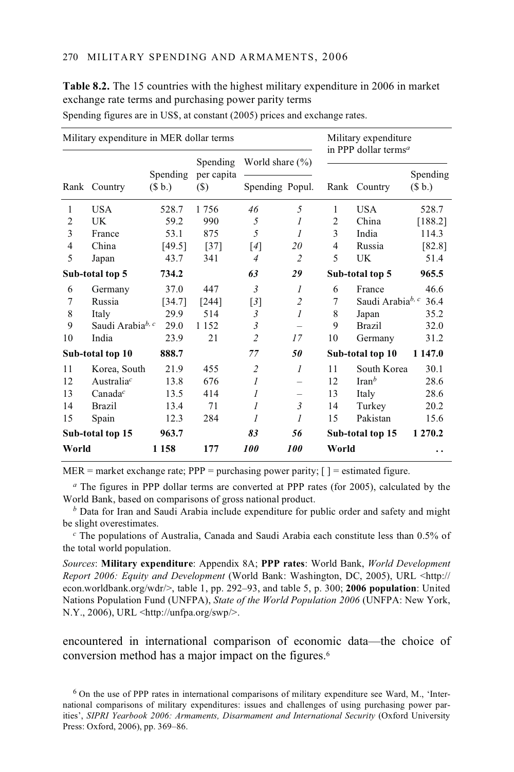| Military expenditure in MER dollar terms |                              |                    |                      |                     |                          |                | Military expenditure<br>in PPP dollar terms <sup>a</sup> |                    |  |  |
|------------------------------------------|------------------------------|--------------------|----------------------|---------------------|--------------------------|----------------|----------------------------------------------------------|--------------------|--|--|
|                                          |                              |                    | Spending             | World share $(\% )$ |                          |                |                                                          |                    |  |  |
|                                          | Rank Country                 | Spending<br>(\$b.) | per capita<br>$(\$)$ | Spending Popul.     |                          |                | Rank Country                                             | Spending<br>(\$b.) |  |  |
| 1                                        | <b>USA</b>                   | 528.7              | 1756                 | 46                  | 5                        | 1              | <b>USA</b>                                               | 528.7              |  |  |
| $\overline{2}$                           | UK                           | 59.2               | 990                  | 5                   | $\mathcal{I}$            | $\overline{2}$ | China                                                    | [188.2]            |  |  |
| 3                                        | France                       | 53.1               | 875                  | 5                   | 1                        | 3              | India                                                    | 114.3              |  |  |
| 4                                        | China                        | [49.5]             | $[37]$               | [4]                 | 20                       | 4              | Russia                                                   | [82.8]             |  |  |
| 5                                        | Japan                        | 43.7               | 341                  | $\overline{4}$      | 2                        | 5              | UK                                                       | 51.4               |  |  |
| Sub-total top 5                          |                              | 734.2              |                      | 63                  | 29                       |                | Sub-total top 5                                          | 965.5              |  |  |
| 6                                        | Germany                      | 37.0               | 447                  | $\mathfrak{Z}$      | $\mathcal{I}$            | 6              | France                                                   | 46.6               |  |  |
| 7                                        | Russia                       | [34.7]             | $[244]$              | $\lceil 3 \rceil$   | $\overline{c}$           | 7              | Saudi Arabia <sup>b, c</sup>                             | 36.4               |  |  |
| 8                                        | Italy                        | 29.9               | 514                  | $\mathfrak{Z}$      | $\mathcal{I}$            | 8              | Japan                                                    | 35.2               |  |  |
| 9                                        | Saudi Arabia <sup>b, c</sup> | 29.0               | 1 1 5 2              | 3                   |                          | 9              | <b>Brazil</b>                                            | 32.0               |  |  |
| 10                                       | India                        | 23.9               | 21                   | $\overline{c}$      | 17                       | 10             | Germany                                                  | 31.2               |  |  |
|                                          | Sub-total top 10             | 888.7              |                      | 77                  | 50                       |                | Sub-total top 10                                         | 1 147.0            |  |  |
| 11                                       | Korea, South                 | 21.9               | 455                  | $\overline{c}$      | $\mathcal{I}$            | 11             | South Korea                                              | 30.1               |  |  |
| 12                                       | Australia <sup>c</sup>       | 13.8               | 676                  | $\mathcal{I}$       |                          | 12             | $\text{Iran}^b$                                          | 28.6               |  |  |
| 13                                       | Canada $c$                   | 13.5               | 414                  | $\mathcal{I}$       | $\overline{\phantom{m}}$ | 13             | Italy                                                    | 28.6               |  |  |
| 14                                       | <b>Brazil</b>                | 13.4               | 71                   | $\mathcal{I}$       | $\mathfrak{Z}$           | 14             | Turkey                                                   | 20.2               |  |  |
| 15                                       | Spain                        | 12.3               | 284                  | $\mathcal I$        | 1                        | 15             | Pakistan                                                 | 15.6               |  |  |
|                                          | Sub-total top 15             | 963.7              |                      | 83                  | 56                       |                | Sub-total top 15                                         | 1 270.2            |  |  |
| World                                    |                              | 1 1 5 8            | 177                  | 100                 | 100                      | World          |                                                          | . .                |  |  |

**Table 8.2.** The 15 countries with the highest military expenditure in 2006 in market exchange rate terms and purchasing power parity terms Spending figures are in US\$, at constant (2005) prices and exchange rates.

MER = market exchange rate;  $PPP = purchasing power parity$ ;  $[$  = estimated figure.

*<sup>a</sup>* The figures in PPP dollar terms are converted at PPP rates (for 2005), calculated by the World Bank, based on comparisons of gross national product.

*<sup>b</sup>* Data for Iran and Saudi Arabia include expenditure for public order and safety and might be slight overestimates.

*c* The populations of Australia, Canada and Saudi Arabia each constitute less than 0.5% of the total world population.

*Sources*: **Military expenditure**: Appendix 8A; **PPP rates**: World Bank, *World Development Report 2006: Equity and Development* (World Bank: Washington, DC, 2005), URL <http:// econ.worldbank.org/wdr/>, table 1, pp. 292–93, and table 5, p. 300; **2006 population**: United Nations Population Fund (UNFPA), *State of the World Population 2006* (UNFPA: New York, N.Y., 2006), URL <http://unfpa.org/swp/>.

encountered in international comparison of economic data—the choice of conversion method has a major impact on the figures.6

<sup>6</sup> On the use of PPP rates in international comparisons of military expenditure see Ward, M., 'International comparisons of military expenditures: issues and challenges of using purchasing power parities', *SIPRI Yearbook 2006: Armaments, Disarmament and International Security* (Oxford University Press: Oxford, 2006), pp. 369–86.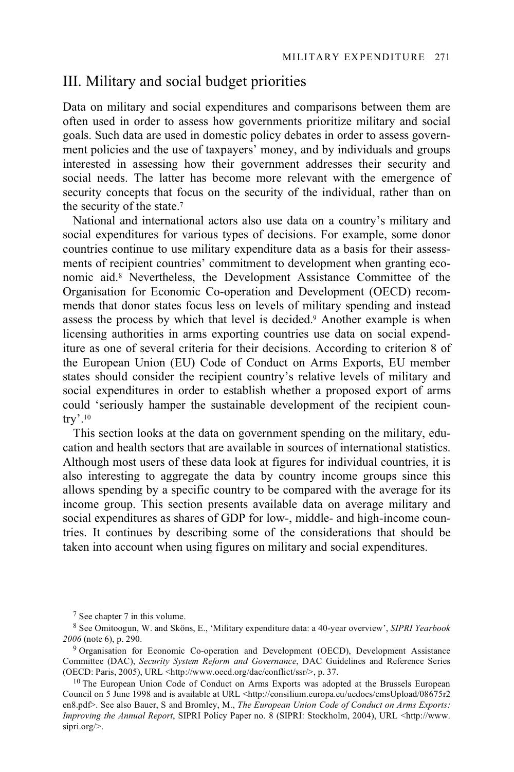# III. Military and social budget priorities

Data on military and social expenditures and comparisons between them are often used in order to assess how governments prioritize military and social goals. Such data are used in domestic policy debates in order to assess government policies and the use of taxpayers' money, and by individuals and groups interested in assessing how their government addresses their security and social needs. The latter has become more relevant with the emergence of security concepts that focus on the security of the individual, rather than on the security of the state.7

National and international actors also use data on a country's military and social expenditures for various types of decisions. For example, some donor countries continue to use military expenditure data as a basis for their assessments of recipient countries' commitment to development when granting economic aid.8 Nevertheless, the Development Assistance Committee of the Organisation for Economic Co-operation and Development (OECD) recommends that donor states focus less on levels of military spending and instead assess the process by which that level is decided.<sup>9</sup> Another example is when licensing authorities in arms exporting countries use data on social expenditure as one of several criteria for their decisions. According to criterion 8 of the European Union (EU) Code of Conduct on Arms Exports, EU member states should consider the recipient country's relative levels of military and social expenditures in order to establish whether a proposed export of arms could 'seriously hamper the sustainable development of the recipient country'.10

This section looks at the data on government spending on the military, education and health sectors that are available in sources of international statistics. Although most users of these data look at figures for individual countries, it is also interesting to aggregate the data by country income groups since this allows spending by a specific country to be compared with the average for its income group. This section presents available data on average military and social expenditures as shares of GDP for low-, middle- and high-income countries. It continues by describing some of the considerations that should be taken into account when using figures on military and social expenditures.

<sup>7</sup> See chapter 7 in this volume.

<sup>8</sup> See Omitoogun, W. and Sköns, E., 'Military expenditure data: a 40-year overview', *SIPRI Yearbook 2006* (note 6), p. 290.

<sup>&</sup>lt;sup>9</sup> Organisation for Economic Co-operation and Development (OECD), Development Assistance Committee (DAC), *Security System Reform and Governance*, DAC Guidelines and Reference Series (OECD: Paris, 2005), URL <http://www.oecd.org/dac/conflict/ssr/>, p. 37.

 $^{10}$  The European Union Code of Conduct on Arms Exports was adopted at the Brussels European Council on 5 June 1998 and is available at URL <http://consilium.europa.eu/uedocs/cmsUpload/08675r2 en8.pdf>. See also Bauer, S and Bromley, M., *The European Union Code of Conduct on Arms Exports: Improving the Annual Report*, SIPRI Policy Paper no. 8 (SIPRI: Stockholm, 2004), URL <http://www. sipri.org/>.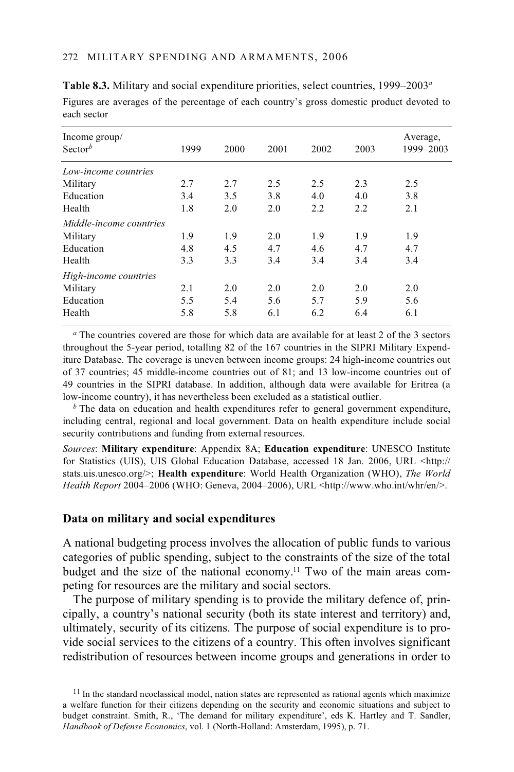| Income group/<br>Sector <sup>b</sup> | 1999 | 2000 | 2001 | 2002 | 2003 | Average,<br>1999-2003 |
|--------------------------------------|------|------|------|------|------|-----------------------|
|                                      |      |      |      |      |      |                       |
| Low-income countries                 |      |      |      |      |      |                       |
| Military                             | 2.7  | 2.7  | 2.5  | 2.5  | 2.3  | 2.5                   |
| Education                            | 3.4  | 3.5  | 3.8  | 4.0  | 4.0  | 3.8                   |
| Health                               | 1.8  | 2.0  | 2.0  | 2.2  | 2.2  | 2.1                   |
| Middle-income countries              |      |      |      |      |      |                       |
| Military                             | 1.9  | 1.9  | 2.0  | 1.9  | 1.9  | 1.9                   |
| Education                            | 4.8  | 4.5  | 4.7  | 4.6  | 4.7  | 4.7                   |
| Health                               | 3.3  | 3.3  | 3.4  | 3.4  | 3.4  | 3.4                   |
| High-income countries                |      |      |      |      |      |                       |
| Military                             | 2.1  | 2.0  | 2.0  | 2.0  | 2.0  | 2.0                   |
| Education                            | 5.5  | 5.4  | 5.6  | 5.7  | 5.9  | 5.6                   |
| Health                               | 5.8  | 5.8  | 6.1  | 6.2  | 6.4  | 6.1                   |

**Table 8.3.** Military and social expenditure priorities, select countries, 1999–2003*<sup>a</sup>* Figures are averages of the percentage of each country's gross domestic product devoted to each sector

*<sup>a</sup>* The countries covered are those for which data are available for at least 2 of the 3 sectors throughout the 5-year period, totalling 82 of the 167 countries in the SIPRI Military Expenditure Database. The coverage is uneven between income groups: 24 high-income countries out of 37 countries; 45 middle-income countries out of 81; and 13 low-income countries out of 49 countries in the SIPRI database. In addition, although data were available for Eritrea (a low-income country), it has nevertheless been excluded as a statistical outlier.

*b* The data on education and health expenditures refer to general government expenditure, including central, regional and local government. Data on health expenditure include social security contributions and funding from external resources.

*Sources*: **Military expenditure**: Appendix 8A; **Education expenditure**: UNESCO Institute for Statistics (UIS), UIS Global Education Database, accessed 18 Jan. 2006, URL <http:// stats.uis.unesco.org/>; **Health expenditure**: World Health Organization (WHO), *The World Health Report* 2004–2006 (WHO: Geneva, 2004–2006), URL <http://www.who.int/whr/en/>.

### **Data on military and social expenditures**

A national budgeting process involves the allocation of public funds to various categories of public spending, subject to the constraints of the size of the total budget and the size of the national economy.11 Two of the main areas competing for resources are the military and social sectors.

The purpose of military spending is to provide the military defence of, principally, a country's national security (both its state interest and territory) and, ultimately, security of its citizens. The purpose of social expenditure is to provide social services to the citizens of a country. This often involves significant redistribution of resources between income groups and generations in order to

 $11$  In the standard neoclassical model, nation states are represented as rational agents which maximize a welfare function for their citizens depending on the security and economic situations and subject to budget constraint. Smith, R., 'The demand for military expenditure', eds K. Hartley and T. Sandler, *Handbook of Defense Economics*, vol. 1 (North-Holland: Amsterdam, 1995), p. 71.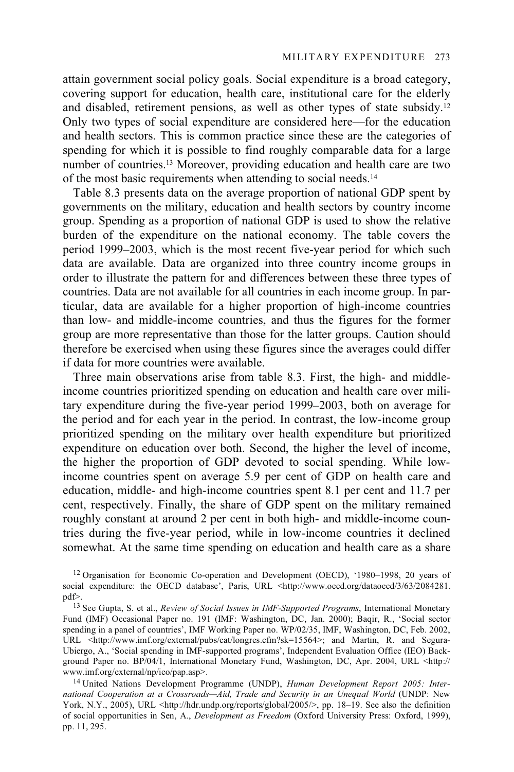attain government social policy goals. Social expenditure is a broad category, covering support for education, health care, institutional care for the elderly and disabled, retirement pensions, as well as other types of state subsidy.12 Only two types of social expenditure are considered here—for the education and health sectors. This is common practice since these are the categories of spending for which it is possible to find roughly comparable data for a large number of countries.13 Moreover, providing education and health care are two of the most basic requirements when attending to social needs.14

Table 8.3 presents data on the average proportion of national GDP spent by governments on the military, education and health sectors by country income group. Spending as a proportion of national GDP is used to show the relative burden of the expenditure on the national economy. The table covers the period 1999–2003, which is the most recent five-year period for which such data are available. Data are organized into three country income groups in order to illustrate the pattern for and differences between these three types of countries. Data are not available for all countries in each income group. In particular, data are available for a higher proportion of high-income countries than low- and middle-income countries, and thus the figures for the former group are more representative than those for the latter groups. Caution should therefore be exercised when using these figures since the averages could differ if data for more countries were available.

Three main observations arise from table 8.3. First, the high- and middleincome countries prioritized spending on education and health care over military expenditure during the five-year period 1999–2003, both on average for the period and for each year in the period. In contrast, the low-income group prioritized spending on the military over health expenditure but prioritized expenditure on education over both. Second, the higher the level of income, the higher the proportion of GDP devoted to social spending. While lowincome countries spent on average 5.9 per cent of GDP on health care and education, middle- and high-income countries spent 8.1 per cent and 11.7 per cent, respectively. Finally, the share of GDP spent on the military remained roughly constant at around 2 per cent in both high- and middle-income countries during the five-year period, while in low-income countries it declined somewhat. At the same time spending on education and health care as a share

<sup>12</sup> Organisation for Economic Co-operation and Development (OECD), '1980–1998, 20 years of social expenditure: the OECD database', Paris, URL <http://www.oecd.org/dataoecd/3/63/2084281.<br>pdf>.

<sup>&</sup>lt;sup>13</sup> See Gupta, S. et al., *Review of Social Issues in IMF-Supported Programs*, International Monetary Fund (IMF) Occasional Paper no. 191 (IMF: Washington, DC, Jan. 2000); Baqir, R., 'Social sector spending in a panel of countries', IMF Working Paper no. WP/02/35, IMF, Washington, DC, Feb. 2002, URL <http://www.imf.org/external/pubs/cat/longres.cfm?sk=15564>; and Martin, R. and Segura-Ubiergo, A., 'Social spending in IMF-supported programs', Independent Evaluation Office (IEO) Background Paper no. BP/04/1, International Monetary Fund, Washington, DC, Apr. 2004, URL <http:// www.imf.org/external/np/ieo/pap.asp>. 14 United Nations Development Programme (UNDP), *Human Development Report 2005: Inter-*

*national Cooperation at a Crossroads—Aid, Trade and Security in an Unequal World* (UNDP: New York, N.Y., 2005), URL <http://hdr.undp.org/reports/global/2005/>, pp. 18–19. See also the definition of social opportunities in Sen, A., *Development as Freedom* (Oxford University Press: Oxford, 1999), pp. 11, 295.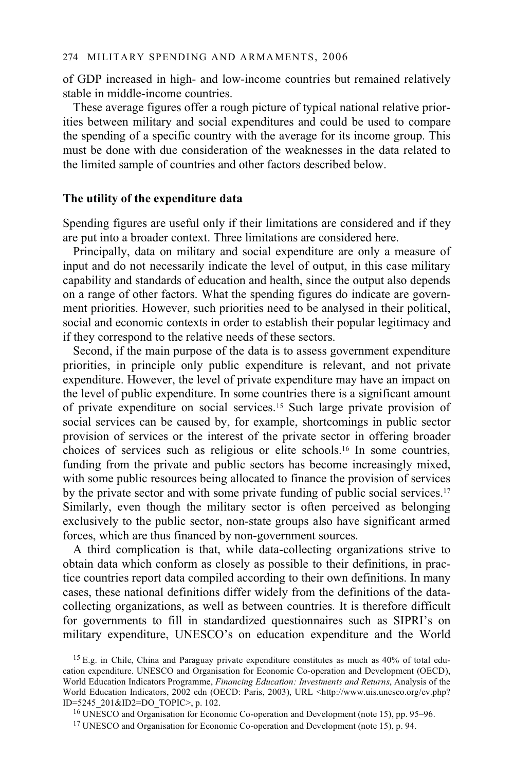of GDP increased in high- and low-income countries but remained relatively stable in middle-income countries.

These average figures offer a rough picture of typical national relative priorities between military and social expenditures and could be used to compare the spending of a specific country with the average for its income group. This must be done with due consideration of the weaknesses in the data related to the limited sample of countries and other factors described below.

### **The utility of the expenditure data**

Spending figures are useful only if their limitations are considered and if they are put into a broader context. Three limitations are considered here.

Principally, data on military and social expenditure are only a measure of input and do not necessarily indicate the level of output, in this case military capability and standards of education and health, since the output also depends on a range of other factors. What the spending figures do indicate are government priorities. However, such priorities need to be analysed in their political, social and economic contexts in order to establish their popular legitimacy and if they correspond to the relative needs of these sectors.

Second, if the main purpose of the data is to assess government expenditure priorities, in principle only public expenditure is relevant, and not private expenditure. However, the level of private expenditure may have an impact on the level of public expenditure. In some countries there is a significant amount of private expenditure on social services.15 Such large private provision of social services can be caused by, for example, shortcomings in public sector provision of services or the interest of the private sector in offering broader choices of services such as religious or elite schools.16 In some countries, funding from the private and public sectors has become increasingly mixed, with some public resources being allocated to finance the provision of services by the private sector and with some private funding of public social services.17 Similarly, even though the military sector is often perceived as belonging exclusively to the public sector, non-state groups also have significant armed forces, which are thus financed by non-government sources.

A third complication is that, while data-collecting organizations strive to obtain data which conform as closely as possible to their definitions, in practice countries report data compiled according to their own definitions. In many cases, these national definitions differ widely from the definitions of the datacollecting organizations, as well as between countries. It is therefore difficult for governments to fill in standardized questionnaires such as SIPRI's on military expenditure, UNESCO's on education expenditure and the World

<sup>&</sup>lt;sup>15</sup> E.g. in Chile, China and Paraguay private expenditure constitutes as much as  $40\%$  of total education expenditure. UNESCO and Organisation for Economic Co-operation and Development (OECD), World Education Indicators Programme, *Financing Education: Investments and Returns*, Analysis of the World Education Indicators, 2002 edn (OECD: Paris, 2003), URL <http://www.uis.unesco.org/ev.php?  $ID=5245\_201\&ID2=DO\_TOPIC>$ , p. 102.<br><sup>16</sup> UNESCO and Organisation for Economic Co-operation and Development (note 15), pp. 95–96.

<sup>&</sup>lt;sup>17</sup> UNESCO and Organisation for Economic Co-operation and Development (note 15), p. 94.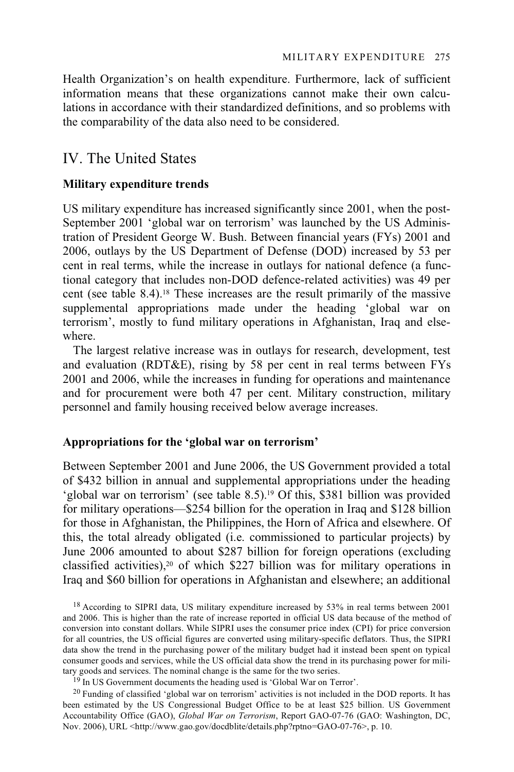Health Organization's on health expenditure. Furthermore, lack of sufficient information means that these organizations cannot make their own calculations in accordance with their standardized definitions, and so problems with the comparability of the data also need to be considered.

### IV. The United States

### **Military expenditure trends**

US military expenditure has increased significantly since 2001, when the post-September 2001 'global war on terrorism' was launched by the US Administration of President George W. Bush. Between financial years (FYs) 2001 and 2006, outlays by the US Department of Defense (DOD) increased by 53 per cent in real terms, while the increase in outlays for national defence (a functional category that includes non-DOD defence-related activities) was 49 per cent (see table 8.4).18 These increases are the result primarily of the massive supplemental appropriations made under the heading 'global war on terrorism', mostly to fund military operations in Afghanistan, Iraq and elsewhere.

The largest relative increase was in outlays for research, development, test and evaluation (RDT&E), rising by 58 per cent in real terms between FYs 2001 and 2006, while the increases in funding for operations and maintenance and for procurement were both 47 per cent. Military construction, military personnel and family housing received below average increases.

### **Appropriations for the 'global war on terrorism'**

Between September 2001 and June 2006, the US Government provided a total of \$432 billion in annual and supplemental appropriations under the heading 'global war on terrorism' (see table 8.5).19 Of this, \$381 billion was provided for military operations—\$254 billion for the operation in Iraq and \$128 billion for those in Afghanistan, the Philippines, the Horn of Africa and elsewhere. Of this, the total already obligated (i.e. commissioned to particular projects) by June 2006 amounted to about \$287 billion for foreign operations (excluding classified activities),20 of which \$227 billion was for military operations in Iraq and \$60 billion for operations in Afghanistan and elsewhere; an additional

<sup>18</sup> According to SIPRI data, US military expenditure increased by 53% in real terms between 2001 and 2006. This is higher than the rate of increase reported in official US data because of the method of conversion into constant dollars. While SIPRI uses the consumer price index (CPI) for price conversion for all countries, the US official figures are converted using military-specific deflators. Thus, the SIPRI data show the trend in the purchasing power of the military budget had it instead been spent on typical consumer goods and services, while the US official data show the trend in its purchasing power for military goods and services. The nominal change is the same for the two series.

 $19$  In US Government documents the heading used is 'Global War on Terror'.

 $^{20}$  Funding of classified 'global war on terrorism' activities is not included in the DOD reports. It has been estimated by the US Congressional Budget Office to be at least \$25 billion. US Government Accountability Office (GAO), *Global War on Terrorism*, Report GAO-07-76 (GAO: Washington, DC, Nov. 2006), URL <http://www.gao.gov/docdblite/details.php?rptno=GAO-07-76>, p. 10.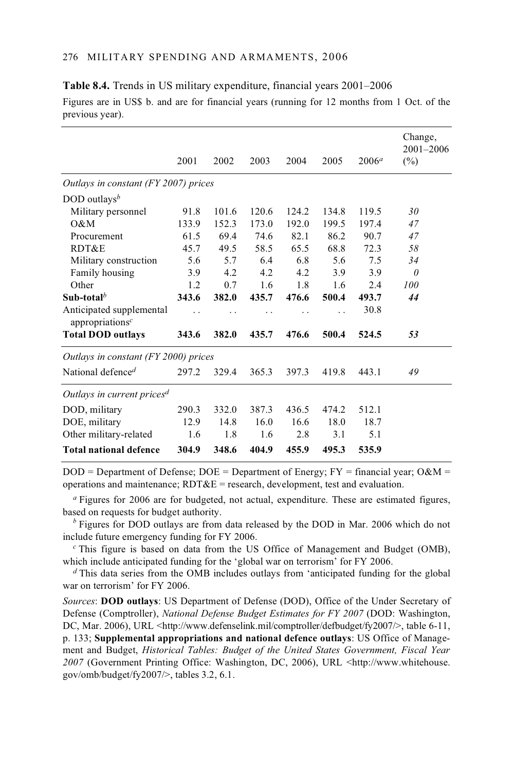|                                                         | 2001  | 2002  | 2003  | 2004  | 2005  | $2006^a$ | Change,<br>$2001 - 2006$<br>$(\%)$ |
|---------------------------------------------------------|-------|-------|-------|-------|-------|----------|------------------------------------|
| Outlays in constant (FY 2007) prices                    |       |       |       |       |       |          |                                    |
| DOD outlays <sup>b</sup>                                |       |       |       |       |       |          |                                    |
| Military personnel                                      | 91.8  | 101.6 | 120.6 | 124.2 | 134.8 | 119.5    | 30                                 |
| 0&M                                                     | 133.9 | 152.3 | 173.0 | 192.0 | 199.5 | 197.4    | 47                                 |
| Procurement                                             | 61.5  | 69.4  | 74.6  | 82.1  | 86.2  | 90.7     | 47                                 |
| RDT&E                                                   | 45.7  | 49.5  | 58.5  | 65.5  | 68.8  | 72.3     | 58                                 |
| Military construction                                   | 5.6   | 5.7   | 6.4   | 6.8   | 5.6   | 7.5      | 34                                 |
| Family housing                                          | 3.9   | 4.2   | 4.2   | 4.2   | 3.9   | 3.9      | $\theta$                           |
| Other                                                   | 1.2   | 0.7   | 1.6   | 1.8   | 1.6   | 2.4      | 100                                |
| Sub-total <sup>b</sup>                                  | 343.6 | 382.0 | 435.7 | 476.6 | 500.4 | 493.7    | 44                                 |
| Anticipated supplemental<br>appropriations <sup>c</sup> | . .   |       | . .   |       | . .   | 30.8     |                                    |
| <b>Total DOD outlays</b>                                | 343.6 | 382.0 | 435.7 | 476.6 | 500.4 | 524.5    | 53                                 |
| Outlays in constant (FY 2000) prices                    |       |       |       |       |       |          |                                    |
| National defence <sup>d</sup>                           | 297.2 | 329.4 | 365.3 | 397.3 | 419.8 | 443.1    | 49                                 |
| Outlays in current prices <sup>d</sup>                  |       |       |       |       |       |          |                                    |
| DOD, military                                           | 290.3 | 332.0 | 387.3 | 436.5 | 474.2 | 512.1    |                                    |
| DOE, military                                           | 12.9  | 14.8  | 16.0  | 16.6  | 18.0  | 18.7     |                                    |
| Other military-related                                  | 1.6   | 1.8   | 1.6   | 2.8   | 3.1   | 5.1      |                                    |
| <b>Total national defence</b>                           | 304.9 | 348.6 | 404.9 | 455.9 | 495.3 | 535.9    |                                    |

**Table 8.4.** Trends in US military expenditure, financial years 2001–2006 Figures are in US\$ b. and are for financial years (running for 12 months from 1 Oct. of the previous year).

 $DOD = Department of Defense; DOE = Department of Energy; FY = financial year; O&M =$ operations and maintenance;  $RDT&E$  = research, development, test and evaluation.

*<sup>a</sup>* Figures for 2006 are for budgeted, not actual, expenditure. These are estimated figures, based on requests for budget authority.

*b* Figures for DOD outlays are from data released by the DOD in Mar. 2006 which do not include future emergency funding for FY 2006.

*<sup>c</sup>* This figure is based on data from the US Office of Management and Budget (OMB), which include anticipated funding for the 'global war on terrorism' for FY 2006.

*<sup>d</sup>* This data series from the OMB includes outlays from 'anticipated funding for the global war on terrorism' for FY 2006.

*Sources*: **DOD outlays**: US Department of Defense (DOD), Office of the Under Secretary of Defense (Comptroller), *National Defense Budget Estimates for FY 2007* (DOD: Washington, DC, Mar. 2006), URL <http://www.defenselink.mil/comptroller/defbudget/fy2007/>, table 6-11, p. 133; **Supplemental appropriations and national defence outlays**: US Office of Management and Budget, *Historical Tables: Budget of the United States Government, Fiscal Year*  2007 (Government Printing Office: Washington, DC, 2006), URL <http://www.whitehouse. gov/omb/budget/fy2007/>, tables 3.2, 6.1.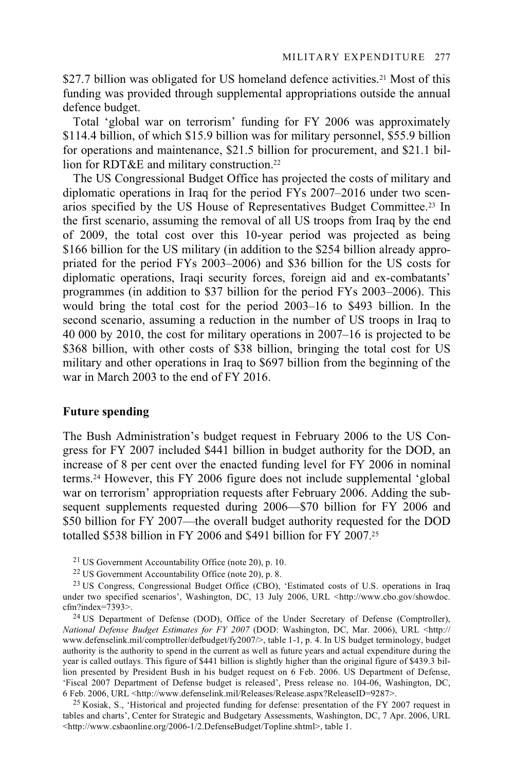\$27.7 billion was obligated for US homeland defence activities.<sup>21</sup> Most of this funding was provided through supplemental appropriations outside the annual defence budget.

Total 'global war on terrorism' funding for FY 2006 was approximately \$114.4 billion, of which \$15.9 billion was for military personnel, \$55.9 billion for operations and maintenance, \$21.5 billion for procurement, and \$21.1 billion for RDT&E and military construction.<sup>22</sup>

The US Congressional Budget Office has projected the costs of military and diplomatic operations in Iraq for the period FYs 2007–2016 under two scenarios specified by the US House of Representatives Budget Committee.23 In the first scenario, assuming the removal of all US troops from Iraq by the end of 2009, the total cost over this 10-year period was projected as being \$166 billion for the US military (in addition to the \$254 billion already appropriated for the period FYs 2003–2006) and \$36 billion for the US costs for diplomatic operations, Iraqi security forces, foreign aid and ex-combatants' programmes (in addition to \$37 billion for the period FYs 2003–2006). This would bring the total cost for the period 2003–16 to \$493 billion. In the second scenario, assuming a reduction in the number of US troops in Iraq to 40 000 by 2010, the cost for military operations in 2007–16 is projected to be \$368 billion, with other costs of \$38 billion, bringing the total cost for US military and other operations in Iraq to \$697 billion from the beginning of the war in March 2003 to the end of FY 2016.

#### **Future spending**

The Bush Administration's budget request in February 2006 to the US Congress for FY 2007 included \$441 billion in budget authority for the DOD, an increase of 8 per cent over the enacted funding level for FY 2006 in nominal terms.24 However, this FY 2006 figure does not include supplemental 'global war on terrorism' appropriation requests after February 2006. Adding the subsequent supplements requested during 2006—\$70 billion for FY 2006 and \$50 billion for FY 2007—the overall budget authority requested for the DOD totalled \$538 billion in FY 2006 and \$491 billion for FY 2007.25

21 US Government Accountability Office (note 20), p. 10.

22 US Government Accountability Office (note 20), p. 8.

<sup>23</sup> US Congress, Congressional Budget Office (CBO), 'Estimated costs of U.S. operations in Iraq under two specified scenarios', Washington, DC, 13 July 2006, URL <http://www.cbo.gov/showdoc. cfm?index=7393>.

<sup>24</sup> US Department of Defense (DOD), Office of the Under Secretary of Defense (Comptroller), *National Defense Budget Estimates for FY 2007* (DOD: Washington, DC, Mar. 2006), URL <http:// www.defenselink.mil/comptroller/defbudget/fy2007/>, table 1-1, p. 4. In US budget terminology, budget authority is the authority to spend in the current as well as future years and actual expenditure during the year is called outlays. This figure of \$441 billion is slightly higher than the original figure of \$439.3 billion presented by President Bush in his budget request on 6 Feb. 2006. US Department of Defense, 'Fiscal 2007 Department of Defense budget is released', Press release no. 104-06, Washington, DC,

<sup>25</sup> Kosiak, S., 'Historical and projected funding for defense: presentation of the FY 2007 request in tables and charts', Center for Strategic and Budgetary Assessments, Washington, DC, 7 Apr. 2006, URL <http://www.csbaonline.org/2006-1/2.DefenseBudget/Topline.shtml>, table 1.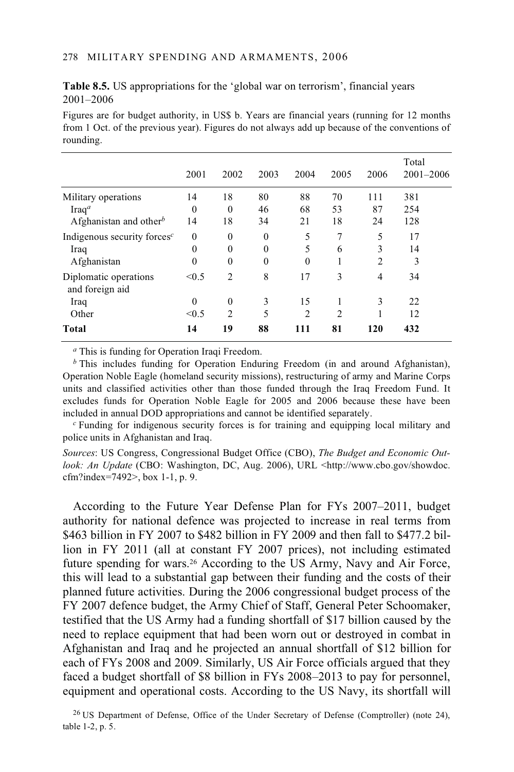**Table 8.5.** US appropriations for the 'global war on terrorism', financial years 2001–2006

Figures are for budget authority, in US\$ b. Years are financial years (running for 12 months from 1 Oct. of the previous year). Figures do not always add up because of the conventions of rounding.

|                                          | 2001         | 2002           | 2003     | 2004           | 2005           | 2006           | Total<br>$2001 - 2006$ |
|------------------------------------------|--------------|----------------|----------|----------------|----------------|----------------|------------------------|
| Military operations                      | 14           | 18             | 80       | 88             | 70             | 111            | 381                    |
| $\text{Iraq}^a$                          | $\mathbf{0}$ | $\theta$       | 46       | 68             | 53             | 87             | 254                    |
| Afghanistan and other <sup>b</sup>       | 14           | 18             | 34       | 21             | 18             | 24             | 128                    |
| Indigenous security forces $c$           | $\theta$     | $\mathbf{0}$   | $\theta$ | 5              | 7              | 5              | 17                     |
| Iraq                                     | $\mathbf{0}$ | $\theta$       | $\theta$ | 5              | 6              | 3              | 14                     |
| Afghanistan                              | $\theta$     | $\mathbf{0}$   | $\theta$ | $\theta$       | ш              | $\overline{c}$ | 3                      |
| Diplomatic operations<br>and foreign aid | < 0.5        | $\overline{c}$ | 8        | 17             | 3              | $\overline{4}$ | 34                     |
| Iraq                                     | $\theta$     | $\theta$       | 3        | 15             |                | 3              | 22                     |
| Other                                    | < 0.5        | $\overline{2}$ | 5        | $\overline{c}$ | $\overline{c}$ |                | 12                     |
| Total                                    | 14           | 19             | 88       | 111            | 81             | 120            | 432                    |

*<sup>a</sup>* This is funding for Operation Iraqi Freedom.

*<sup>b</sup>* This includes funding for Operation Enduring Freedom (in and around Afghanistan), Operation Noble Eagle (homeland security missions), restructuring of army and Marine Corps units and classified activities other than those funded through the Iraq Freedom Fund. It excludes funds for Operation Noble Eagle for 2005 and 2006 because these have been included in annual DOD appropriations and cannot be identified separately.

*c* Funding for indigenous security forces is for training and equipping local military and police units in Afghanistan and Iraq.

*Sources*: US Congress, Congressional Budget Office (CBO), *The Budget and Economic Outlook: An Update* (CBO: Washington, DC, Aug. 2006), URL <http://www.cbo.gov/showdoc. cfm?index=7492>, box 1-1, p. 9.

According to the Future Year Defense Plan for FYs 2007–2011, budget authority for national defence was projected to increase in real terms from \$463 billion in FY 2007 to \$482 billion in FY 2009 and then fall to \$477.2 billion in FY 2011 (all at constant FY 2007 prices), not including estimated future spending for wars.26 According to the US Army, Navy and Air Force, this will lead to a substantial gap between their funding and the costs of their planned future activities. During the 2006 congressional budget process of the FY 2007 defence budget, the Army Chief of Staff, General Peter Schoomaker, testified that the US Army had a funding shortfall of \$17 billion caused by the need to replace equipment that had been worn out or destroyed in combat in Afghanistan and Iraq and he projected an annual shortfall of \$12 billion for each of FYs 2008 and 2009. Similarly, US Air Force officials argued that they faced a budget shortfall of \$8 billion in FYs 2008–2013 to pay for personnel, equipment and operational costs. According to the US Navy, its shortfall will

<sup>&</sup>lt;sup>26</sup> US Department of Defense, Office of the Under Secretary of Defense (Comptroller) (note 24), table 1-2, p. 5.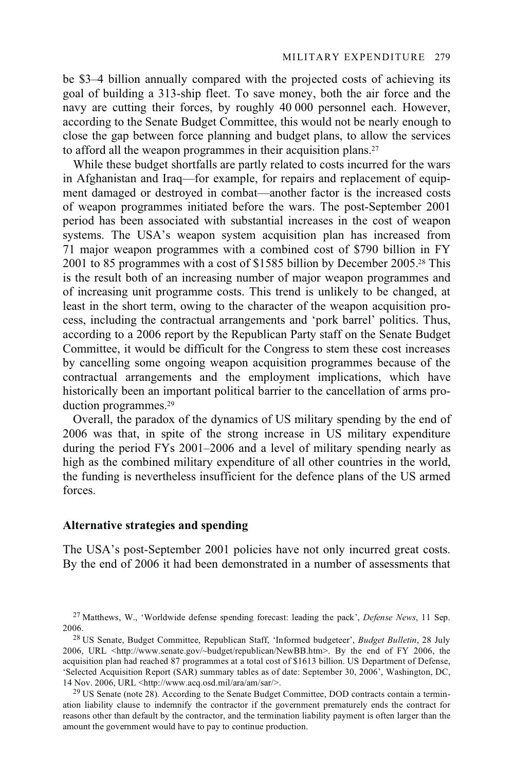be \$3–4 billion annually compared with the projected costs of achieving its goal of building a 313-ship fleet. To save money, both the air force and the navy are cutting their forces, by roughly 40 000 personnel each. However, according to the Senate Budget Committee, this would not be nearly enough to close the gap between force planning and budget plans, to allow the services to afford all the weapon programmes in their acquisition plans.<sup>27</sup>

While these budget shortfalls are partly related to costs incurred for the wars in Afghanistan and Iraq—for example, for repairs and replacement of equipment damaged or destroyed in combat—another factor is the increased costs of weapon programmes initiated before the wars. The post-September 2001 period has been associated with substantial increases in the cost of weapon systems. The USA's weapon system acquisition plan has increased from 71 major weapon programmes with a combined cost of \$790 billion in FY 2001 to 85 programmes with a cost of \$1585 billion by December 2005.28 This is the result both of an increasing number of major weapon programmes and of increasing unit programme costs. This trend is unlikely to be changed, at least in the short term, owing to the character of the weapon acquisition process, including the contractual arrangements and 'pork barrel' politics. Thus, according to a 2006 report by the Republican Party staff on the Senate Budget Committee, it would be difficult for the Congress to stem these cost increases by cancelling some ongoing weapon acquisition programmes because of the contractual arrangements and the employment implications, which have historically been an important political barrier to the cancellation of arms production programmes.29

Overall, the paradox of the dynamics of US military spending by the end of 2006 was that, in spite of the strong increase in US military expenditure during the period FYs 2001–2006 and a level of military spending nearly as high as the combined military expenditure of all other countries in the world, the funding is nevertheless insufficient for the defence plans of the US armed forces.

### **Alternative strategies and spending**

The USA's post-September 2001 policies have not only incurred great costs. By the end of 2006 it had been demonstrated in a number of assessments that

27 Matthews, W., 'Worldwide defense spending forecast: leading the pack', *Defense News*, 11 Sep.

<sup>2006. 28</sup> US Senate, Budget Committee, Republican Staff, 'Informed budgeteer', *Budget Bulletin*, 28 July 2006, URL <http://www.senate.gov/~budget/republican/NewBB.htm>. By the end of FY 2006, the acquisition plan had reached 87 programmes at a total cost of \$1613 billion. US Department of Defense, 'Selected Acquisition Report (SAR) summary tables as of date: September 30, 2006', Washington, DC, 14 Nov. 2006, URL <http://www.acq.osd.mil/ara/am/sar/>.<br><sup>29</sup> US Senate (note 28). According to the Senate Budget Committee, DOD contracts contain a termin-

ation liability clause to indemnify the contractor if the government prematurely ends the contract for reasons other than default by the contractor, and the termination liability payment is often larger than the amount the government would have to pay to continue production.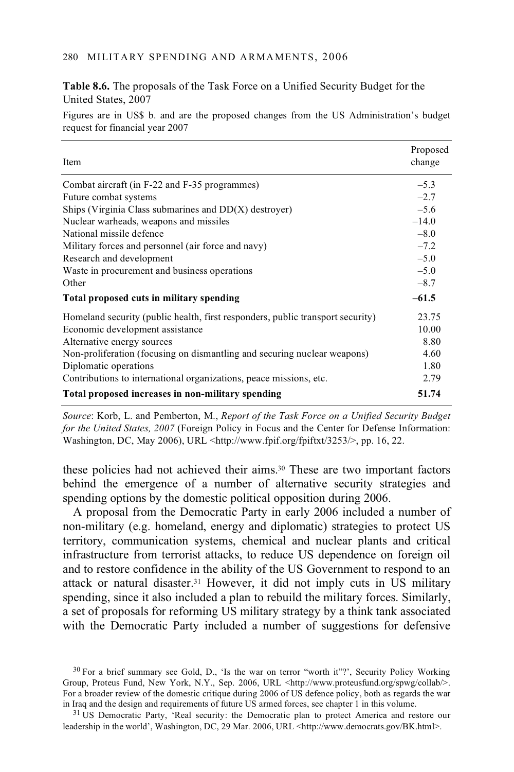#### 280 MILITARY SPENDING AND ARMAMENTS, 2006

**Table 8.6.** The proposals of the Task Force on a Unified Security Budget for the United States, 2007

Figures are in US\$ b. and are the proposed changes from the US Administration's budget request for financial year 2007

| Item                                                                           | Proposed<br>change |
|--------------------------------------------------------------------------------|--------------------|
| Combat aircraft (in F-22 and F-35 programmes)                                  | $-5.3$             |
| Future combat systems                                                          | $-2.7$             |
| Ships (Virginia Class submarines and $DD(X)$ destroyer)                        | $-5.6$             |
| Nuclear warheads, weapons and missiles                                         | $-14.0$            |
| National missile defence                                                       | $-8.0$             |
| Military forces and personnel (air force and navy)                             | $-7.2$             |
| Research and development                                                       | $-5.0$             |
| Waste in procurement and business operations                                   | $-5.0$             |
| Other                                                                          | $-8.7$             |
| Total proposed cuts in military spending                                       | $-61.5$            |
| Homeland security (public health, first responders, public transport security) | 23.75              |
| Economic development assistance                                                | 10.00              |
| Alternative energy sources                                                     | 8.80               |
| Non-proliferation (focusing on dismantling and securing nuclear weapons)       | 4.60               |
| Diplomatic operations                                                          | 1.80               |
| Contributions to international organizations, peace missions, etc.             | 2.79               |
| Total proposed increases in non-military spending                              | 51.74              |

*Source*: Korb, L. and Pemberton, M., *Report of the Task Force on a Unified Security Budget for the United States, 2007* (Foreign Policy in Focus and the Center for Defense Information: Washington, DC, May 2006), URL <http://www.fpif.org/fpiftxt/3253/>, pp. 16, 22.

these policies had not achieved their aims.30 These are two important factors behind the emergence of a number of alternative security strategies and spending options by the domestic political opposition during 2006.

A proposal from the Democratic Party in early 2006 included a number of non-military (e.g. homeland, energy and diplomatic) strategies to protect US territory, communication systems, chemical and nuclear plants and critical infrastructure from terrorist attacks, to reduce US dependence on foreign oil and to restore confidence in the ability of the US Government to respond to an attack or natural disaster.31 However, it did not imply cuts in US military spending, since it also included a plan to rebuild the military forces. Similarly, a set of proposals for reforming US military strategy by a think tank associated with the Democratic Party included a number of suggestions for defensive

<sup>&</sup>lt;sup>30</sup> For a brief summary see Gold, D., 'Is the war on terror "worth it"?', Security Policy Working Group, Proteus Fund, New York, N.Y., Sep. 2006, URL <http://www.proteusfund.org/spwg/collab/>. For a broader review of the domestic critique during 2006 of US defence policy, both as regards the war in Iraq and the design and requirements of future US armed forces, see chapter 1 in this volume.

<sup>&</sup>lt;sup>31</sup> US Democratic Party, 'Real security: the Democratic plan to protect America and restore our leadership in the world', Washington, DC, 29 Mar. 2006, URL <http://www.democrats.gov/BK.html>.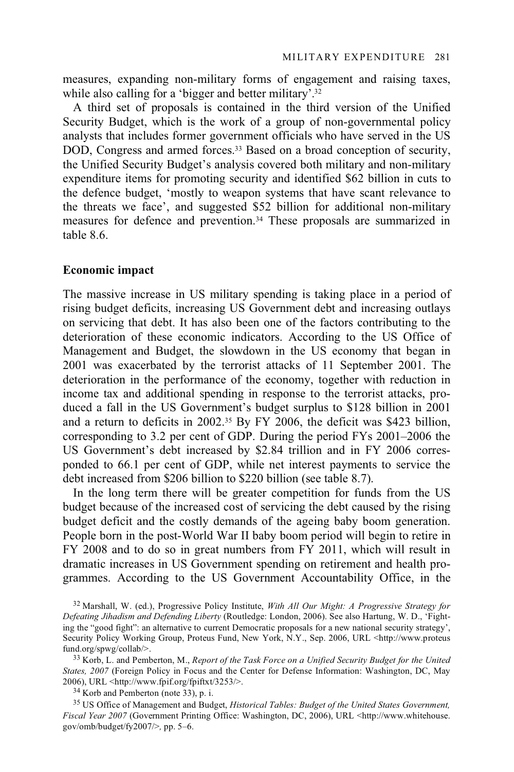measures, expanding non-military forms of engagement and raising taxes, while also calling for a 'bigger and better military'.<sup>32</sup>

A third set of proposals is contained in the third version of the Unified Security Budget, which is the work of a group of non-governmental policy analysts that includes former government officials who have served in the US DOD, Congress and armed forces.<sup>33</sup> Based on a broad conception of security, the Unified Security Budget's analysis covered both military and non-military expenditure items for promoting security and identified \$62 billion in cuts to the defence budget, 'mostly to weapon systems that have scant relevance to the threats we face', and suggested \$52 billion for additional non-military measures for defence and prevention.34 These proposals are summarized in table 8.6.

### **Economic impact**

The massive increase in US military spending is taking place in a period of rising budget deficits, increasing US Government debt and increasing outlays on servicing that debt. It has also been one of the factors contributing to the deterioration of these economic indicators. According to the US Office of Management and Budget, the slowdown in the US economy that began in 2001 was exacerbated by the terrorist attacks of 11 September 2001. The deterioration in the performance of the economy, together with reduction in income tax and additional spending in response to the terrorist attacks, produced a fall in the US Government's budget surplus to \$128 billion in 2001 and a return to deficits in 2002.35 By FY 2006, the deficit was \$423 billion, corresponding to 3.2 per cent of GDP. During the period FYs 2001–2006 the US Government's debt increased by \$2.84 trillion and in FY 2006 corresponded to 66.1 per cent of GDP, while net interest payments to service the debt increased from \$206 billion to \$220 billion (see table 8.7).

In the long term there will be greater competition for funds from the US budget because of the increased cost of servicing the debt caused by the rising budget deficit and the costly demands of the ageing baby boom generation. People born in the post-World War II baby boom period will begin to retire in FY 2008 and to do so in great numbers from FY 2011, which will result in dramatic increases in US Government spending on retirement and health programmes. According to the US Government Accountability Office, in the

32 Marshall, W. (ed.), Progressive Policy Institute, *With All Our Might: A Progressive Strategy for Defeating Jihadism and Defending Liberty* (Routledge: London, 2006). See also Hartung, W. D., 'Fighting the "good fight": an alternative to current Democratic proposals for a new national security strategy', Security Policy Working Group, Proteus Fund, New York, N.Y., Sep. 2006, URL <http://www.proteus fund.org/spwg/collab/>.

<sup>33</sup> Korb, L. and Pemberton, M., *Report of the Task Force on a Unified Security Budget for the United States, 2007* (Foreign Policy in Focus and the Center for Defense Information: Washington, DC, May 2006), URL <http://www.fpif.org/fpiftxt/3253/>. 34 Korb and Pemberton (note 33), p. i.

35 US Office of Management and Budget, *Historical Tables: Budget of the United States Government, Fiscal Year 2007* (Government Printing Office: Washington, DC, 2006), URL <http://www.whitehouse. gov/omb/budget/fy2007/>*,* pp. 5–6.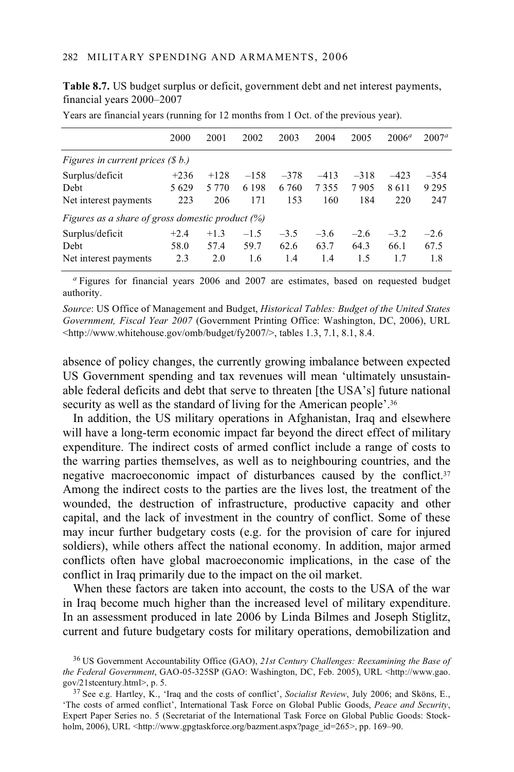**Table 8.7.** US budget surplus or deficit, government debt and net interest payments, financial years 2000–2007

|                                                     | 2000   | 2001    | 2002    | 2003   | 2004   | 2005   | $2006^a$ | $2007^a$ |  |  |  |  |
|-----------------------------------------------------|--------|---------|---------|--------|--------|--------|----------|----------|--|--|--|--|
| Figures in current prices $(\$ b.)$                 |        |         |         |        |        |        |          |          |  |  |  |  |
| Surplus/deficit                                     | $+236$ | $+128$  | $-158$  | $-378$ | $-413$ | $-318$ | $-423$   | $-354$   |  |  |  |  |
| Debt                                                | 5629   | 5 7 7 0 | 6 1 9 8 | 6.760  | 7355   | 7905   | 8611     | 9 2 9 5  |  |  |  |  |
| Net interest payments                               | 223    | 206     | 171     | 153    | 160    | 184    | 220      | 247      |  |  |  |  |
| Figures as a share of gross domestic product $(\%)$ |        |         |         |        |        |        |          |          |  |  |  |  |
| Surplus/deficit                                     | $+2.4$ | $+1.3$  | $-1.5$  | $-3.5$ | $-3.6$ | $-2.6$ | $-3.2$   | $-2.6$   |  |  |  |  |
| Debt                                                | 58.0   | 57.4    | 59.7    | 62.6   | 63.7   | 64.3   | 66.1     | 67.5     |  |  |  |  |
| Net interest payments                               | 2.3    | 2.0     | 1.6     | 1.4    | 1.4    | 1.5    | 1.7      | 1.8      |  |  |  |  |

Years are financial years (running for 12 months from 1 Oct. of the previous year).

*<sup>a</sup>* Figures for financial years 2006 and 2007 are estimates, based on requested budget authority.

*Source*: US Office of Management and Budget, *Historical Tables: Budget of the United States Government, Fiscal Year 2007* (Government Printing Office: Washington, DC, 2006), URL <http://www.whitehouse.gov/omb/budget/fy2007/>, tables 1.3, 7.1, 8.1, 8.4.

absence of policy changes, the currently growing imbalance between expected US Government spending and tax revenues will mean 'ultimately unsustainable federal deficits and debt that serve to threaten [the USA's] future national security as well as the standard of living for the American people'.<sup>36</sup>

In addition, the US military operations in Afghanistan, Iraq and elsewhere will have a long-term economic impact far beyond the direct effect of military expenditure. The indirect costs of armed conflict include a range of costs to the warring parties themselves, as well as to neighbouring countries, and the negative macroeconomic impact of disturbances caused by the conflict.37 Among the indirect costs to the parties are the lives lost, the treatment of the wounded, the destruction of infrastructure, productive capacity and other capital, and the lack of investment in the country of conflict. Some of these may incur further budgetary costs (e.g. for the provision of care for injured soldiers), while others affect the national economy. In addition, major armed conflicts often have global macroeconomic implications, in the case of the conflict in Iraq primarily due to the impact on the oil market.

When these factors are taken into account, the costs to the USA of the war in Iraq become much higher than the increased level of military expenditure. In an assessment produced in late 2006 by Linda Bilmes and Joseph Stiglitz, current and future budgetary costs for military operations, demobilization and

<sup>36</sup> US Government Accountability Office (GAO), *21st Century Challenges: Reexamining the Base of the Federal Government*, GAO-05-325SP (GAO: Washington, DC, Feb. 2005), URL <http://www.gao. gov/21stcentury.html>, p. 5. 37 See e.g. Hartley, K., 'Iraq and the costs of conflict', *Socialist Review*, July 2006; and Sköns, E.,

<sup>&#</sup>x27;The costs of armed conflict', International Task Force on Global Public Goods, *Peace and Security*, Expert Paper Series no. 5 (Secretariat of the International Task Force on Global Public Goods: Stockholm, 2006), URL <http://www.gpgtaskforce.org/bazment.aspx?page\_id=265>, pp. 169–90.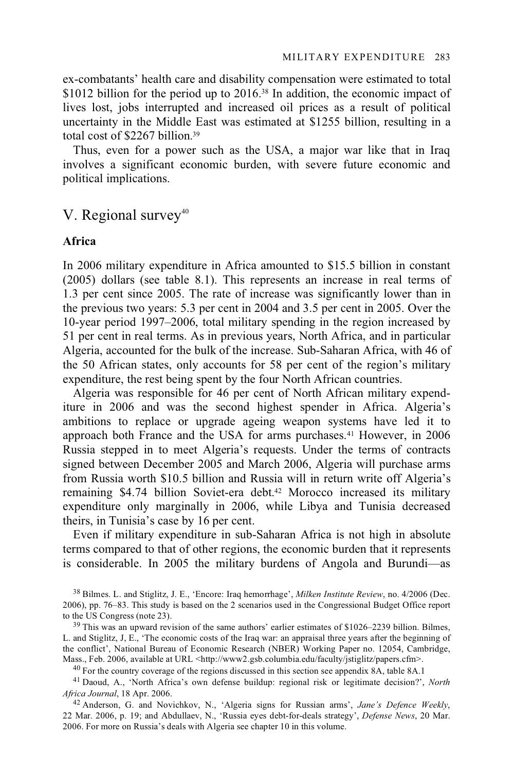ex-combatants' health care and disability compensation were estimated to total \$1012 billion for the period up to 2016.<sup>38</sup> In addition, the economic impact of lives lost, jobs interrupted and increased oil prices as a result of political uncertainty in the Middle East was estimated at \$1255 billion, resulting in a total cost of \$2267 billion.39

Thus, even for a power such as the USA, a major war like that in Iraq involves a significant economic burden, with severe future economic and political implications.

# V. Regional survey<sup>40</sup>

### **Africa**

In 2006 military expenditure in Africa amounted to \$15.5 billion in constant (2005) dollars (see table 8.1). This represents an increase in real terms of 1.3 per cent since 2005. The rate of increase was significantly lower than in the previous two years: 5.3 per cent in 2004 and 3.5 per cent in 2005. Over the 10-year period 1997–2006, total military spending in the region increased by 51 per cent in real terms. As in previous years, North Africa, and in particular Algeria, accounted for the bulk of the increase. Sub-Saharan Africa, with 46 of the 50 African states, only accounts for 58 per cent of the region's military expenditure, the rest being spent by the four North African countries.

Algeria was responsible for 46 per cent of North African military expenditure in 2006 and was the second highest spender in Africa. Algeria's ambitions to replace or upgrade ageing weapon systems have led it to approach both France and the USA for arms purchases.41 However, in 2006 Russia stepped in to meet Algeria's requests. Under the terms of contracts signed between December 2005 and March 2006, Algeria will purchase arms from Russia worth \$10.5 billion and Russia will in return write off Algeria's remaining \$4.74 billion Soviet-era debt.42 Morocco increased its military expenditure only marginally in 2006, while Libya and Tunisia decreased theirs, in Tunisia's case by 16 per cent.

Even if military expenditure in sub-Saharan Africa is not high in absolute terms compared to that of other regions, the economic burden that it represents is considerable. In 2005 the military burdens of Angola and Burundi—as

38 Bilmes. L. and Stiglitz, J. E., 'Encore: Iraq hemorrhage', *Milken Institute Review*, no. 4/2006 (Dec. 2006), pp. 76–83. This study is based on the 2 scenarios used in the Congressional Budget Office report

 $39$  This was an upward revision of the same authors' earlier estimates of \$1026–2239 billion. Bilmes, L. and Stiglitz, J, E., 'The economic costs of the Iraq war: an appraisal three years after the beginning of the conflict', National Bureau of Economic Research (NBER) Working Paper no. 12054, Cambridge, Mass., Feb. 2006, available at URL <http://www2.gsb.columbia.edu/faculty/jstiglitz/papers.cfm>.

 $40$  For the country coverage of the regions discussed in this section see appendix 8A, table 8A.1

41 Daoud, A., 'North Africa's own defense buildup: regional risk or legitimate decision?', *North* 

*Africa Journal*, 18 Apr. 2006. 42 Anderson, G. and Novichkov, N., 'Algeria signs for Russian arms', *Jane's Defence Weekly*, 22 Mar. 2006, p. 19; and Abdullaev, N., 'Russia eyes debt-for-deals strategy', *Defense News*, 20 Mar. 2006. For more on Russia's deals with Algeria see chapter 10 in this volume.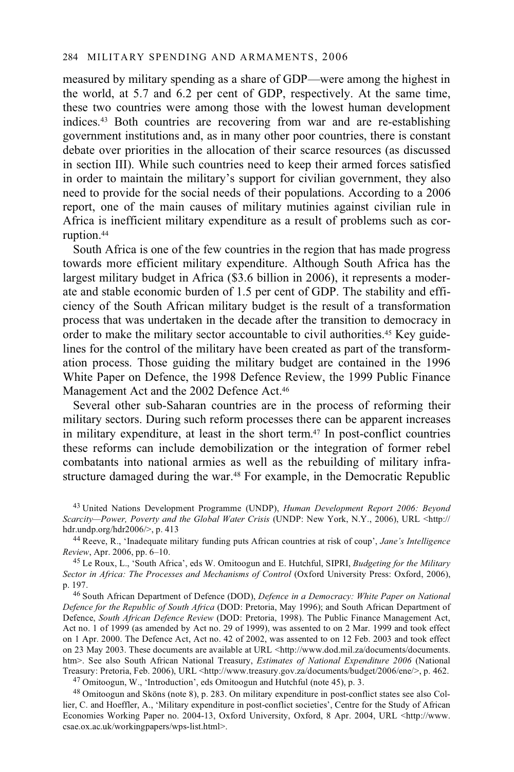measured by military spending as a share of GDP—were among the highest in the world, at 5.7 and 6.2 per cent of GDP, respectively. At the same time, these two countries were among those with the lowest human development indices.43 Both countries are recovering from war and are re-establishing government institutions and, as in many other poor countries, there is constant debate over priorities in the allocation of their scarce resources (as discussed in section III). While such countries need to keep their armed forces satisfied in order to maintain the military's support for civilian government, they also need to provide for the social needs of their populations. According to a 2006 report, one of the main causes of military mutinies against civilian rule in Africa is inefficient military expenditure as a result of problems such as corruption.44

South Africa is one of the few countries in the region that has made progress towards more efficient military expenditure. Although South Africa has the largest military budget in Africa (\$3.6 billion in 2006), it represents a moderate and stable economic burden of 1.5 per cent of GDP. The stability and efficiency of the South African military budget is the result of a transformation process that was undertaken in the decade after the transition to democracy in order to make the military sector accountable to civil authorities.45 Key guidelines for the control of the military have been created as part of the transformation process. Those guiding the military budget are contained in the 1996 White Paper on Defence, the 1998 Defence Review, the 1999 Public Finance Management Act and the 2002 Defence Act.<sup>46</sup>

Several other sub-Saharan countries are in the process of reforming their military sectors. During such reform processes there can be apparent increases in military expenditure, at least in the short term.47 In post-conflict countries these reforms can include demobilization or the integration of former rebel combatants into national armies as well as the rebuilding of military infrastructure damaged during the war.<sup>48</sup> For example, in the Democratic Republic

43 United Nations Development Programme (UNDP), *Human Development Report 2006: Beyond Scarcity—Power, Poverty and the Global Water Crisis* (UNDP: New York, N.Y., 2006), URL <http://<br>hdr.undp.org/hdr2006/>, p. 413

<sup>44</sup> Reeve, R., 'Inadequate military funding puts African countries at risk of coup', *Jane's Intelligence Review*, Apr. 2006, pp. 6–10.

<sup>45</sup> Le Roux, L., 'South Africa', eds W. Omitoogun and E. Hutchful, SIPRI, *Budgeting for the Military* Sector in Africa: The Processes and Mechanisms of Control (Oxford University Press: Oxford, 2006), p. 197. 46 South African Department of Defence (DOD), *Defence in a Democracy: White Paper on National* 

*Defence for the Republic of South Africa* (DOD: Pretoria, May 1996); and South African Department of Defence, *South African Defence Review* (DOD: Pretoria, 1998). The Public Finance Management Act, Act no. 1 of 1999 (as amended by Act no. 29 of 1999), was assented to on 2 Mar. 1999 and took effect on 1 Apr. 2000. The Defence Act, Act no. 42 of 2002, was assented to on 12 Feb. 2003 and took effect on 23 May 2003. These documents are available at URL <http://www.dod.mil.za/documents/documents. htm>. See also South African National Treasury, *Estimates of National Expenditure 2006* (National Treasury: Pretoria, Feb. 2006), URL <http://www.treasury.gov.za/documents/budget/2006/ene/>, p. 462. 47 Omitoogun, W., 'Introduction', eds Omitoogun and Hutchful (note 45), p. 3.

48 Omitoogun and Sköns (note 8), p. 283. On military expenditure in post-conflict states see also Collier, C. and Hoeffler, A., 'Military expenditure in post-conflict societies', Centre for the Study of African Economies Working Paper no. 2004-13, Oxford University, Oxford, 8 Apr. 2004, URL <http://www. csae.ox.ac.uk/workingpapers/wps-list.html>.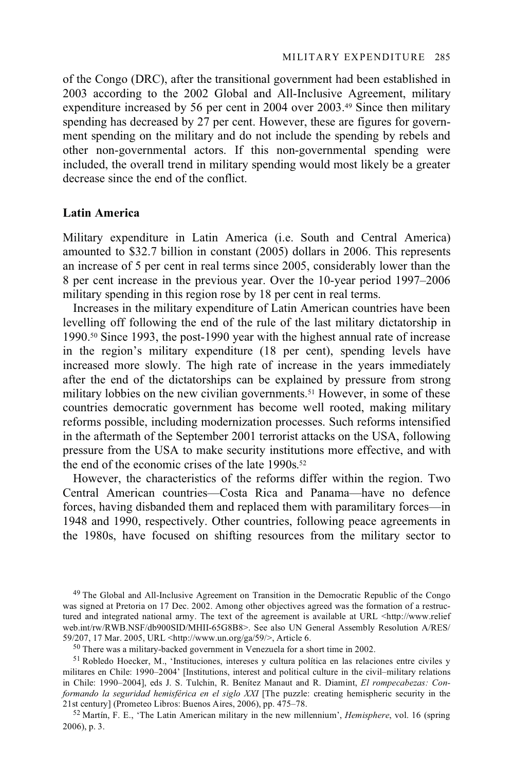of the Congo (DRC), after the transitional government had been established in 2003 according to the 2002 Global and All-Inclusive Agreement, military expenditure increased by 56 per cent in 2004 over 2003.49 Since then military spending has decreased by 27 per cent. However, these are figures for government spending on the military and do not include the spending by rebels and other non-governmental actors. If this non-governmental spending were included, the overall trend in military spending would most likely be a greater decrease since the end of the conflict.

### **Latin America**

Military expenditure in Latin America (i.e. South and Central America) amounted to \$32.7 billion in constant (2005) dollars in 2006. This represents an increase of 5 per cent in real terms since 2005, considerably lower than the 8 per cent increase in the previous year. Over the 10-year period 1997–2006 military spending in this region rose by 18 per cent in real terms.

Increases in the military expenditure of Latin American countries have been levelling off following the end of the rule of the last military dictatorship in 1990.50 Since 1993, the post-1990 year with the highest annual rate of increase in the region's military expenditure (18 per cent), spending levels have increased more slowly. The high rate of increase in the years immediately after the end of the dictatorships can be explained by pressure from strong military lobbies on the new civilian governments.<sup>51</sup> However, in some of these countries democratic government has become well rooted, making military reforms possible, including modernization processes. Such reforms intensified in the aftermath of the September 2001 terrorist attacks on the USA, following pressure from the USA to make security institutions more effective, and with the end of the economic crises of the late 1990s.<sup>52</sup>

However, the characteristics of the reforms differ within the region. Two Central American countries—Costa Rica and Panama—have no defence forces, having disbanded them and replaced them with paramilitary forces—in 1948 and 1990, respectively. Other countries, following peace agreements in the 1980s, have focused on shifting resources from the military sector to

<sup>50</sup> There was a military-backed government in Venezuela for a short time in 2002.

<sup>49</sup> The Global and All-Inclusive Agreement on Transition in the Democratic Republic of the Congo was signed at Pretoria on 17 Dec. 2002. Among other objectives agreed was the formation of a restructured and integrated national army. The text of the agreement is available at URL <http://www.relief web.int/rw/RWB.NSF/db900SID/MHII-65G8B8>. See also UN General Assembly Resolution A/RES/<br>59/207, 17 Mar. 2005, URL <http://www.un.org/ga/59/>, Article 6.

<sup>51</sup> Robledo Hoecker, M., 'Instituciones, intereses y cultura política en las relaciones entre civiles y militares en Chile: 1990–2004' [Institutions, interest and political culture in the civil–military relations in Chile: 1990–2004], eds J. S. Tulchin, R. Benítez Manaut and R. Diamint, *El rompecabezas: Conformando la seguridad hemisférica en el siglo XXI* [The puzzle: creating hemispheric security in the 21st century] (Prometeo Libros: Buenos Aires, 2006), pp. 475–78. 52 Martín, F. E., 'The Latin American military in the new millennium', *Hemisphere*, vol. 16 (spring

<sup>2006),</sup> p. 3.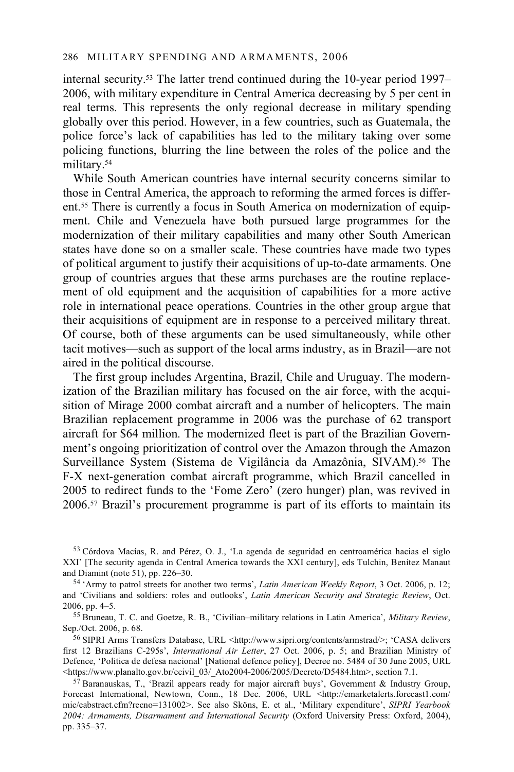internal security.53 The latter trend continued during the 10-year period 1997– 2006, with military expenditure in Central America decreasing by 5 per cent in real terms. This represents the only regional decrease in military spending globally over this period. However, in a few countries, such as Guatemala, the police force's lack of capabilities has led to the military taking over some policing functions, blurring the line between the roles of the police and the military.54

While South American countries have internal security concerns similar to those in Central America, the approach to reforming the armed forces is different.55 There is currently a focus in South America on modernization of equipment. Chile and Venezuela have both pursued large programmes for the modernization of their military capabilities and many other South American states have done so on a smaller scale. These countries have made two types of political argument to justify their acquisitions of up-to-date armaments. One group of countries argues that these arms purchases are the routine replacement of old equipment and the acquisition of capabilities for a more active role in international peace operations. Countries in the other group argue that their acquisitions of equipment are in response to a perceived military threat. Of course, both of these arguments can be used simultaneously, while other tacit motives—such as support of the local arms industry, as in Brazil—are not aired in the political discourse.

The first group includes Argentina, Brazil, Chile and Uruguay. The modernization of the Brazilian military has focused on the air force, with the acquisition of Mirage 2000 combat aircraft and a number of helicopters. The main Brazilian replacement programme in 2006 was the purchase of 62 transport aircraft for \$64 million. The modernized fleet is part of the Brazilian Government's ongoing prioritization of control over the Amazon through the Amazon Surveillance System (Sistema de Vigilância da Amazônia, SIVAM).<sup>56</sup> The F-X next-generation combat aircraft programme, which Brazil cancelled in 2005 to redirect funds to the 'Fome Zero' (zero hunger) plan, was revived in 2006.57 Brazil's procurement programme is part of its efforts to maintain its

<sup>53</sup> Córdova Macías, R. and Pérez, O. J., 'La agenda de seguridad en centroamérica hacias el siglo XXI' [The security agenda in Central America towards the XXI century], eds Tulchin, Benítez Manaut

<sup>&</sup>lt;sup>54</sup> 'Army to patrol streets for another two terms', *Latin American Weekly Report*, 3 Oct. 2006, p. 12; and 'Civilians and soldiers: roles and outlooks', *Latin American Security and Strategic Review*, Oct.

<sup>2006,</sup> pp. 4–5. 55 Bruneau, T. C. and Goetze, R. B., 'Civilian–military relations in Latin America', *Military Review*,

<sup>56</sup> SIPRI Arms Transfers Database, URL <http://www.sipri.org/contents/armstrad/>; 'CASA delivers first 12 Brazilians C-295s', *International Air Letter*, 27 Oct. 2006, p. 5; and Brazilian Ministry of Defence, 'Política de defesa nacional' [National defence policy], Decree no. 5484 of 30 June 2005, URL<br>
<https://www.planalto.gov.br/ccivil 03/ Ato2004-2006/2005/Decreto/D5484.htm>, section 7.1.

 $\frac{57}{7}$ Baranauskas, T., 'Brazil appears ready for major aircraft buys', Government & Industry Group, Forecast International, Newtown, Conn., 18 Dec. 2006, URL <http://emarketalerts.forecast1.com/ mic/eabstract.cfm?recno=131002>. See also Sköns, E. et al., 'Military expenditure', *SIPRI Yearbook 2004: Armaments, Disarmament and International Security* (Oxford University Press: Oxford, 2004), pp. 335–37.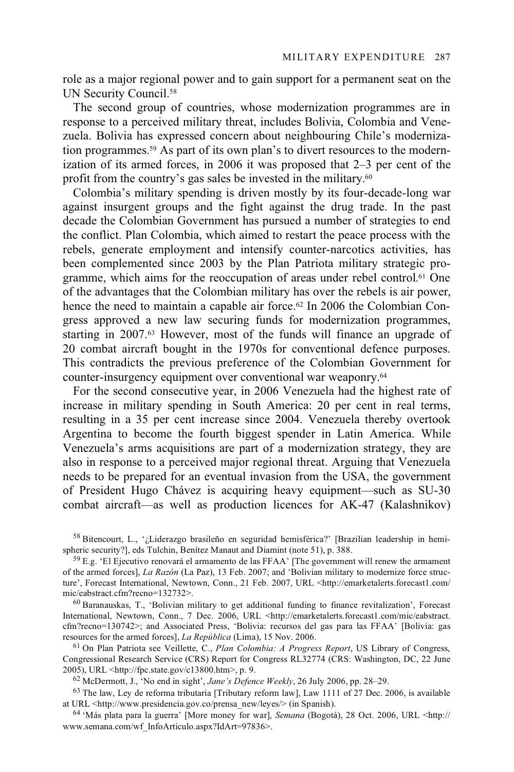role as a major regional power and to gain support for a permanent seat on the UN Security Council.<sup>58</sup>

The second group of countries, whose modernization programmes are in response to a perceived military threat, includes Bolivia, Colombia and Venezuela. Bolivia has expressed concern about neighbouring Chile's modernization programmes.59 As part of its own plan's to divert resources to the modernization of its armed forces, in 2006 it was proposed that 2–3 per cent of the profit from the country's gas sales be invested in the military.60

Colombia's military spending is driven mostly by its four-decade-long war against insurgent groups and the fight against the drug trade. In the past decade the Colombian Government has pursued a number of strategies to end the conflict. Plan Colombia, which aimed to restart the peace process with the rebels, generate employment and intensify counter-narcotics activities, has been complemented since 2003 by the Plan Patriota military strategic programme, which aims for the reoccupation of areas under rebel control.61 One of the advantages that the Colombian military has over the rebels is air power, hence the need to maintain a capable air force.<sup>62</sup> In 2006 the Colombian Congress approved a new law securing funds for modernization programmes, starting in 2007.63 However, most of the funds will finance an upgrade of 20 combat aircraft bought in the 1970s for conventional defence purposes. This contradicts the previous preference of the Colombian Government for counter-insurgency equipment over conventional war weaponry.64

For the second consecutive year, in 2006 Venezuela had the highest rate of increase in military spending in South America: 20 per cent in real terms, resulting in a 35 per cent increase since 2004. Venezuela thereby overtook Argentina to become the fourth biggest spender in Latin America. While Venezuela's arms acquisitions are part of a modernization strategy, they are also in response to a perceived major regional threat. Arguing that Venezuela needs to be prepared for an eventual invasion from the USA, the government of President Hugo Chávez is acquiring heavy equipment—such as SU-30 combat aircraft—as well as production licences for AK-47 (Kalashnikov)

<sup>58</sup> Bitencourt, L., '¿Liderazgo brasileño en seguridad hemisférica?' [Brazilian leadership in hemispheric security?], eds Tulchin, Benítez Manaut and Diamint (note 51), p. 388.

International, Newtown, Conn., 7 Dec. 2006, URL <http://emarketalerts.forecast1.com/mic/eabstract. cfm?recno=130742>; and Associated Press, 'Bolivia: recursos del gas para las FFAA' [Bolivia: gas resources for the armed forces], *La República* (Lima), 15 Nov. 2006.

<sup>61</sup> On Plan Patriota see Veillette, C., *Plan Colombia: A Progress Report*, US Library of Congress, Congressional Research Service (CRS) Report for Congress RL32774 (CRS: Washington, DC, 22 June 2005), URL <http://fpc.state.gov/c13800.htm>, p. 9.

<sup>62</sup> McDermott, J., 'No end in sight', *Jane's Defence Weekly*, 26 July 2006, pp. 28–29.<br><sup>63</sup> The law, Ley de reforma tributaria [Tributary reform law], Law 1111 of 27 Dec. 2006, is available at URL <http://www.presidenci

<sup>64</sup> 'Más plata para la guerra' [More money for war], *Semana* (Bogotá), 28 Oct. 2006, URL <http:// www.semana.com/wf\_InfoArticulo.aspx?IdArt=97836>.

 $59$  E.g. 'El Ejecutivo renovará el armamento de las FFAA' [The government will renew the armament of the armed forces], *La Razón* (La Paz), 13 Feb. 2007; and 'Bolivian military to modernize force structure', Forecast International, Newtown, Conn., 21 Feb. 2007, URL <http://emarketalerts.forecast1.com/ mic/eabstract.cfm?recno=132732>.<br><sup>60</sup> Baranauskas, T., 'Bolivian military to get additional funding to finance revitalization', Forecast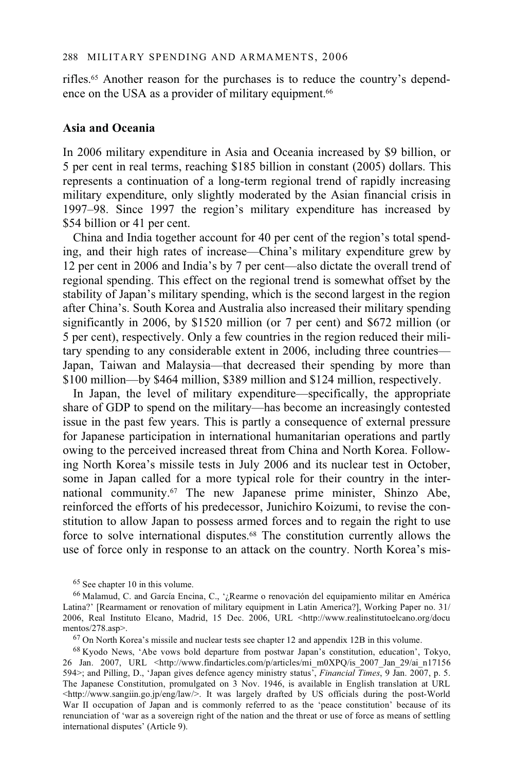rifles.65 Another reason for the purchases is to reduce the country's dependence on the USA as a provider of military equipment.<sup>66</sup>

### **Asia and Oceania**

In 2006 military expenditure in Asia and Oceania increased by \$9 billion, or 5 per cent in real terms, reaching \$185 billion in constant (2005) dollars. This represents a continuation of a long-term regional trend of rapidly increasing military expenditure, only slightly moderated by the Asian financial crisis in 1997–98. Since 1997 the region's military expenditure has increased by \$54 billion or 41 per cent.

China and India together account for 40 per cent of the region's total spending, and their high rates of increase—China's military expenditure grew by 12 per cent in 2006 and India's by 7 per cent—also dictate the overall trend of regional spending. This effect on the regional trend is somewhat offset by the stability of Japan's military spending, which is the second largest in the region after China's. South Korea and Australia also increased their military spending significantly in 2006, by \$1520 million (or 7 per cent) and \$672 million (or 5 per cent), respectively. Only a few countries in the region reduced their military spending to any considerable extent in 2006, including three countries— Japan, Taiwan and Malaysia—that decreased their spending by more than \$100 million—by \$464 million, \$389 million and \$124 million, respectively.

In Japan, the level of military expenditure—specifically, the appropriate share of GDP to spend on the military—has become an increasingly contested issue in the past few years. This is partly a consequence of external pressure for Japanese participation in international humanitarian operations and partly owing to the perceived increased threat from China and North Korea. Following North Korea's missile tests in July 2006 and its nuclear test in October, some in Japan called for a more typical role for their country in the international community.67 The new Japanese prime minister, Shinzo Abe, reinforced the efforts of his predecessor, Junichiro Koizumi, to revise the constitution to allow Japan to possess armed forces and to regain the right to use force to solve international disputes.68 The constitution currently allows the use of force only in response to an attack on the country. North Korea's mis-

68 Kyodo News, 'Abe vows bold departure from postwar Japan's constitution, education', Tokyo, 26 Jan. 2007, URL <http://www.findarticles.com/p/articles/mi\_m0XPQ/is\_2007\_Jan\_29/ai\_n17156 594>; and Pilling, D., 'Japan gives defence agency ministry status', *Financial Times*, 9 Jan. 2007, p. 5. The Japanese Constitution, promulgated on 3 Nov. 1946, is available in English translation at URL  $\frac{\text{th}}{\text{th}}$ ://www.sangiin.go.jp/eng/law/>. It was largely drafted by US officials during the post-World War II occupation of Japan and is commonly referred to as the 'peace constitution' because of its renunciation of 'war as a sovereign right of the nation and the threat or use of force as means of settling international disputes' (Article 9).

<sup>65</sup> See chapter 10 in this volume.

<sup>66</sup> Malamud, C. and García Encina, C., '¿Rearme o renovación del equipamiento militar en América Latina?' [Rearmament or renovation of military equipment in Latin America?], Working Paper no. 31/ 2006, Real Instituto Elcano, Madrid, 15 Dec. 2006, URL <http://www.realinstitutoelcano.org/docu mentos/278.asp>.<br><sup>67</sup> On North Korea's missile and nuclear tests see chapter 12 and appendix 12B in this volume.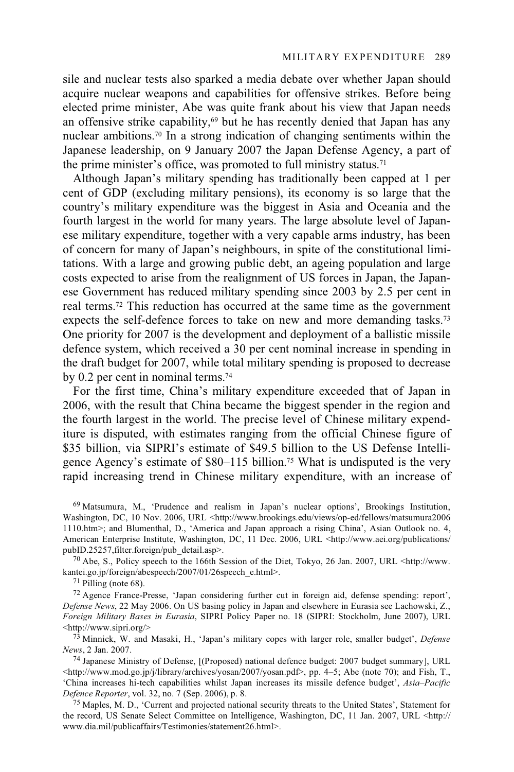sile and nuclear tests also sparked a media debate over whether Japan should acquire nuclear weapons and capabilities for offensive strikes. Before being elected prime minister, Abe was quite frank about his view that Japan needs an offensive strike capability,<sup>69</sup> but he has recently denied that Japan has any nuclear ambitions.70 In a strong indication of changing sentiments within the Japanese leadership, on 9 January 2007 the Japan Defense Agency, a part of the prime minister's office, was promoted to full ministry status.<sup>71</sup>

Although Japan's military spending has traditionally been capped at 1 per cent of GDP (excluding military pensions), its economy is so large that the country's military expenditure was the biggest in Asia and Oceania and the fourth largest in the world for many years. The large absolute level of Japanese military expenditure, together with a very capable arms industry, has been of concern for many of Japan's neighbours, in spite of the constitutional limitations. With a large and growing public debt, an ageing population and large costs expected to arise from the realignment of US forces in Japan, the Japanese Government has reduced military spending since 2003 by 2.5 per cent in real terms.72 This reduction has occurred at the same time as the government expects the self-defence forces to take on new and more demanding tasks.73 One priority for 2007 is the development and deployment of a ballistic missile defence system, which received a 30 per cent nominal increase in spending in the draft budget for 2007, while total military spending is proposed to decrease by 0.2 per cent in nominal terms.74

For the first time, China's military expenditure exceeded that of Japan in 2006, with the result that China became the biggest spender in the region and the fourth largest in the world. The precise level of Chinese military expenditure is disputed, with estimates ranging from the official Chinese figure of \$35 billion, via SIPRI's estimate of \$49.5 billion to the US Defense Intelligence Agency's estimate of \$80–115 billion.75 What is undisputed is the very rapid increasing trend in Chinese military expenditure, with an increase of

69 Matsumura, M., 'Prudence and realism in Japan's nuclear options', Brookings Institution, Washington, DC, 10 Nov. 2006, URL <http://www.brookings.edu/views/op-ed/fellows/matsumura2006 1110.htm>; and Blumenthal, D., 'America and Japan approach a rising China', Asian Outlook no. 4, American Enterprise Institute, Washington, DC, 11 Dec. 2006, URL <http://www.aei.org/publications/<br>publID.25257,filter.foreign/pub detail.asp>.

<sup>70</sup> Abe, S., Policy speech to the 166th Session of the Diet, Tokyo, 26 Jan. 2007, URL <http://www. kantei.go.jp/foreign/abespeech/2007/01/26speech\_e.html>. 71 Pilling (note 68).

72 Agence France-Presse, 'Japan considering further cut in foreign aid, defense spending: report', *Defense News*, 22 May 2006. On US basing policy in Japan and elsewhere in Eurasia see Lachowski, Z., *Foreign Military Bases in Eurasia*, SIPRI Policy Paper no. 18 (SIPRI: Stockholm, June 2007), URL

<http://www.sipri.org/> 73 Minnick, W. and Masaki, H., 'Japan's military copes with larger role, smaller budget', *Defense* 

<sup>74</sup> Japanese Ministry of Defense, [(Proposed) national defence budget: 2007 budget summary], URL <http://www.mod.go.jp/j/library/archives/yosan/2007/yosan.pdf>, pp. 4–5; Abe (note 70); and Fish, T., 'China increases hi-tech capabilities whilst Japan increases its missile defence budget', *Asia–Pacific* 

<sup>75</sup> Maples, M. D., 'Current and projected national security threats to the United States', Statement for the record, US Senate Select Committee on Intelligence, Washington, DC, 11 Jan. 2007, URL <http:// www.dia.mil/publicaffairs/Testimonies/statement26.html>.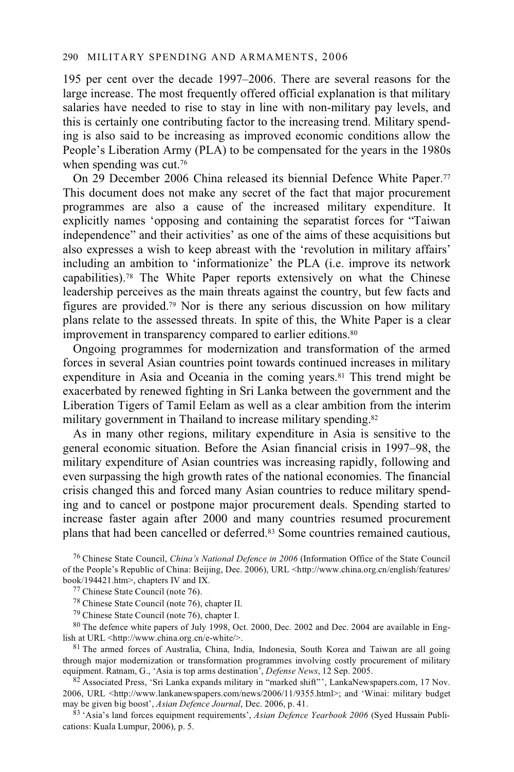#### 290 MILITARY SPENDING AND ARMAMENTS, 2006

195 per cent over the decade 1997–2006. There are several reasons for the large increase. The most frequently offered official explanation is that military salaries have needed to rise to stay in line with non-military pay levels, and this is certainly one contributing factor to the increasing trend. Military spending is also said to be increasing as improved economic conditions allow the People's Liberation Army (PLA) to be compensated for the years in the 1980s when spending was cut.<sup>76</sup>

On 29 December 2006 China released its biennial Defence White Paper.77 This document does not make any secret of the fact that major procurement programmes are also a cause of the increased military expenditure. It explicitly names 'opposing and containing the separatist forces for "Taiwan independence" and their activities' as one of the aims of these acquisitions but also expresses a wish to keep abreast with the 'revolution in military affairs' including an ambition to 'informationize' the PLA (i.e. improve its network capabilities).78 The White Paper reports extensively on what the Chinese leadership perceives as the main threats against the country, but few facts and figures are provided.79 Nor is there any serious discussion on how military plans relate to the assessed threats. In spite of this, the White Paper is a clear improvement in transparency compared to earlier editions.<sup>80</sup>

Ongoing programmes for modernization and transformation of the armed forces in several Asian countries point towards continued increases in military expenditure in Asia and Oceania in the coming years.<sup>81</sup> This trend might be exacerbated by renewed fighting in Sri Lanka between the government and the Liberation Tigers of Tamil Eelam as well as a clear ambition from the interim military government in Thailand to increase military spending.<sup>82</sup>

As in many other regions, military expenditure in Asia is sensitive to the general economic situation. Before the Asian financial crisis in 1997–98, the military expenditure of Asian countries was increasing rapidly, following and even surpassing the high growth rates of the national economies. The financial crisis changed this and forced many Asian countries to reduce military spending and to cancel or postpone major procurement deals. Spending started to increase faster again after 2000 and many countries resumed procurement plans that had been cancelled or deferred.83 Some countries remained cautious,

76 Chinese State Council, *China's National Defence in 2006* (Information Office of the State Council of the People's Republic of China: Beijing, Dec. 2006), URL <http://www.china.org.cn/english/features/<br>book/194421.htm>, chapters IV and IX.

<sup>77</sup> Chinese State Council (note 76).

78 Chinese State Council (note 76), chapter II.

79 Chinese State Council (note 76), chapter I.

<sup>80</sup> The defence white papers of July 1998, Oct. 2000, Dec. 2002 and Dec. 2004 are available in Eng-<br>lish at URL <http://www.china.org.cn/e-white/>.

81 The armed forces of Australia, China, India, Indonesia, South Korea and Taiwan are all going through major modernization or transformation programmes involving costly procurement of military equipment. Ratnam, G., 'Asia is top arms destination', *Defense News*, 12 Sep. 2005.

<sup>82</sup> Associated Press, 'Sri Lanka expands military in "marked shift"', LankaNewspapers.com, 17 Nov. 2006, URL <http://www.lankanewspapers.com/news/2006/11/9355.html>; and 'Winai: military budget may be given big boost', *Asian Defence Journal*, Dec. 2006, p. 41.

83 'Asia's land forces equipment requirements', *Asian Defence Yearbook 2006* (Syed Hussain Publications: Kuala Lumpur, 2006), p. 5.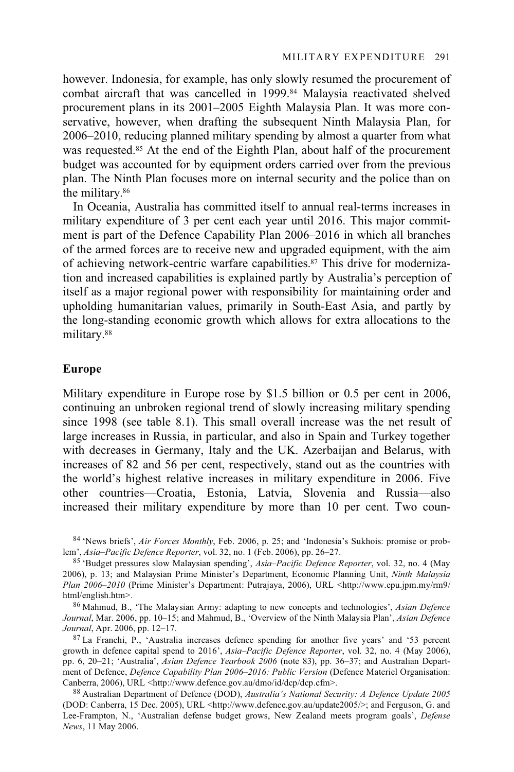however. Indonesia, for example, has only slowly resumed the procurement of combat aircraft that was cancelled in 1999.84 Malaysia reactivated shelved procurement plans in its 2001–2005 Eighth Malaysia Plan. It was more conservative, however, when drafting the subsequent Ninth Malaysia Plan, for 2006–2010, reducing planned military spending by almost a quarter from what was requested.<sup>85</sup> At the end of the Eighth Plan, about half of the procurement budget was accounted for by equipment orders carried over from the previous plan. The Ninth Plan focuses more on internal security and the police than on the military.86

In Oceania, Australia has committed itself to annual real-terms increases in military expenditure of 3 per cent each year until 2016. This major commitment is part of the Defence Capability Plan 2006–2016 in which all branches of the armed forces are to receive new and upgraded equipment, with the aim of achieving network-centric warfare capabilities.<sup>87</sup> This drive for modernization and increased capabilities is explained partly by Australia's perception of itself as a major regional power with responsibility for maintaining order and upholding humanitarian values, primarily in South-East Asia, and partly by the long-standing economic growth which allows for extra allocations to the military.88

### **Europe**

Military expenditure in Europe rose by \$1.5 billion or 0.5 per cent in 2006, continuing an unbroken regional trend of slowly increasing military spending since 1998 (see table 8.1). This small overall increase was the net result of large increases in Russia, in particular, and also in Spain and Turkey together with decreases in Germany, Italy and the UK. Azerbaijan and Belarus, with increases of 82 and 56 per cent, respectively, stand out as the countries with the world's highest relative increases in military expenditure in 2006. Five other countries—Croatia, Estonia, Latvia, Slovenia and Russia—also increased their military expenditure by more than 10 per cent. Two coun-

<sup>&</sup>lt;sup>84</sup> 'News briefs', *Air Forces Monthly*, Feb. 2006, p. 25; and 'Indonesia's Sukhois: promise or prob-<br>lem', *Asia–Pacific Defence Reporter*, vol. 32, no. 1 (Feb. 2006), pp. 26–27.

<sup>85 &#</sup>x27;Budget pressures slow Malaysian spending', *Asia–Pacific Defence Reporter*, vol. 32, no. 4 (May 2006), p. 13; and Malaysian Prime Minister's Department, Economic Planning Unit, *Ninth Malaysia Plan 2006–2010* (Prime Minister's Department: Putrajaya, 2006), URL <http://www.epu.jpm.my/rm9/ html/english.htm>. 86 Mahmud, B., 'The Malaysian Army: adapting to new concepts and technologies', *Asian Defence* 

*Journal*, Mar. 2006, pp. 10–15; and Mahmud, B., 'Overview of the Ninth Malaysia Plan', *Asian Defence Journal*, Apr. 2006, pp. 12–17.<br><sup>87</sup> La Franchi, P., 'Australia increases defence spending for another five years' and '53 percent

growth in defence capital spend to 2016', *Asia–Pacific Defence Reporter*, vol. 32, no. 4 (May 2006), pp. 6, 20–21; 'Australia', *Asian Defence Yearbook 2006* (note 83), pp. 36–37; and Australian Department of Defence, *Defence Capability Plan 2006–2016: Public Version* (Defence Materiel Organisation: Canberra, 2006), URL <http://www.defence.gov.au/dmo/id/dcp/dcp.cfm>. 88 Australian Department of Defence (DOD), *Australia's National Security: A Defence Update 2005*

<sup>(</sup>DOD: Canberra, 15 Dec. 2005), URL <http://www.defence.gov.au/update2005/>; and Ferguson, G. and Lee-Frampton, N., 'Australian defense budget grows, New Zealand meets program goals', *Defense News*, 11 May 2006.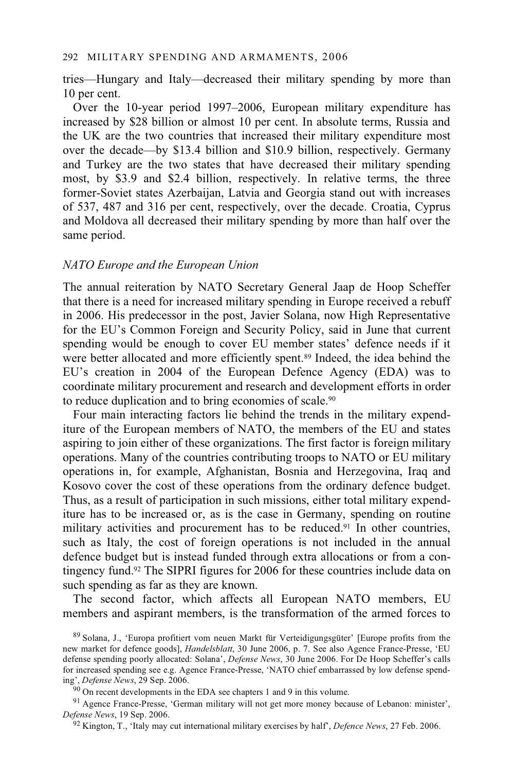#### 292 MILITARY SPENDING AND ARMAMENTS, 2006

tries—Hungary and Italy—decreased their military spending by more than 10 per cent.

Over the 10-year period 1997–2006, European military expenditure has increased by \$28 billion or almost 10 per cent. In absolute terms, Russia and the UK are the two countries that increased their military expenditure most over the decade—by \$13.4 billion and \$10.9 billion, respectively. Germany and Turkey are the two states that have decreased their military spending most, by \$3.9 and \$2.4 billion, respectively. In relative terms, the three former-Soviet states Azerbaijan, Latvia and Georgia stand out with increases of 537, 487 and 316 per cent, respectively, over the decade. Croatia, Cyprus and Moldova all decreased their military spending by more than half over the same period.

### *NATO Europe and the European Union*

The annual reiteration by NATO Secretary General Jaap de Hoop Scheffer that there is a need for increased military spending in Europe received a rebuff in 2006. His predecessor in the post, Javier Solana, now High Representative for the EU's Common Foreign and Security Policy, said in June that current spending would be enough to cover EU member states' defence needs if it were better allocated and more efficiently spent.<sup>89</sup> Indeed, the idea behind the EU's creation in 2004 of the European Defence Agency (EDA) was to coordinate military procurement and research and development efforts in order to reduce duplication and to bring economies of scale.90

Four main interacting factors lie behind the trends in the military expenditure of the European members of NATO, the members of the EU and states aspiring to join either of these organizations. The first factor is foreign military operations. Many of the countries contributing troops to NATO or EU military operations in, for example, Afghanistan, Bosnia and Herzegovina, Iraq and Kosovo cover the cost of these operations from the ordinary defence budget. Thus, as a result of participation in such missions, either total military expenditure has to be increased or, as is the case in Germany, spending on routine military activities and procurement has to be reduced.91 In other countries, such as Italy, the cost of foreign operations is not included in the annual defence budget but is instead funded through extra allocations or from a contingency fund.92 The SIPRI figures for 2006 for these countries include data on such spending as far as they are known.

The second factor, which affects all European NATO members, EU members and aspirant members, is the transformation of the armed forces to

<sup>89</sup> Solana, J., 'Europa profitiert vom neuen Markt für Verteidigungsgüter' [Europe profits from the new market for defence goods], *Handelsblatt*, 30 June 2006, p. 7. See also Agence France-Presse, 'EU defense spending poorly allocated: Solana', *Defense News*, 30 June 2006. For De Hoop Scheffer's calls for increased spending see e.g. Agence France-Presse, 'NATO chief embarrassed by low defense spending', *Defense News*, 29 Sep. 2006.<br><sup>90</sup> On recent developments in the EDA see chapters 1 and 9 in this volume.

<sup>91</sup> Agence France-Presse, 'German military will not get more money because of Lebanon: minister', *Defense News*, 19 Sep. 2006. 92 Kington, T., 'Italy may cut international military exercises by half', *Defence News*, 27 Feb. 2006.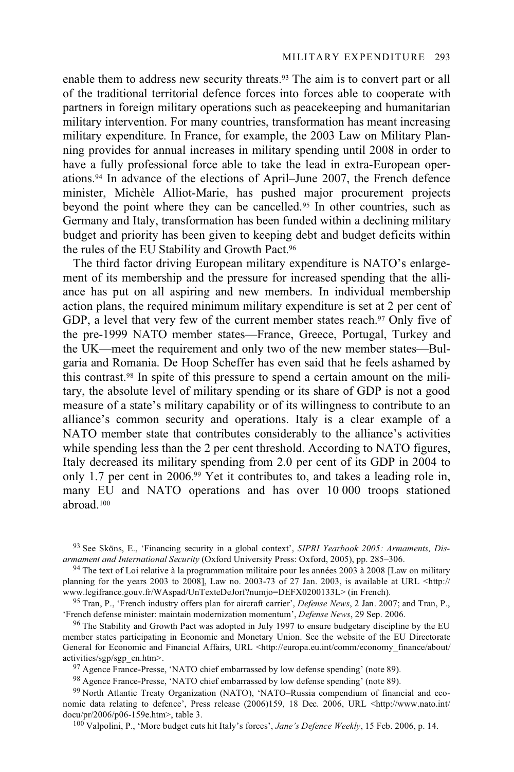enable them to address new security threats.<sup>93</sup> The aim is to convert part or all of the traditional territorial defence forces into forces able to cooperate with partners in foreign military operations such as peacekeeping and humanitarian military intervention. For many countries, transformation has meant increasing military expenditure. In France, for example, the 2003 Law on Military Planning provides for annual increases in military spending until 2008 in order to have a fully professional force able to take the lead in extra-European operations.94 In advance of the elections of April–June 2007, the French defence minister, Michèle Alliot-Marie, has pushed major procurement projects beyond the point where they can be cancelled.95 In other countries, such as Germany and Italy, transformation has been funded within a declining military budget and priority has been given to keeping debt and budget deficits within the rules of the EU Stability and Growth Pact.<sup>96</sup>

The third factor driving European military expenditure is NATO's enlargement of its membership and the pressure for increased spending that the alliance has put on all aspiring and new members. In individual membership action plans, the required minimum military expenditure is set at 2 per cent of GDP, a level that very few of the current member states reach.<sup>97</sup> Only five of the pre-1999 NATO member states—France, Greece, Portugal, Turkey and the UK—meet the requirement and only two of the new member states—Bulgaria and Romania. De Hoop Scheffer has even said that he feels ashamed by this contrast.98 In spite of this pressure to spend a certain amount on the military, the absolute level of military spending or its share of GDP is not a good measure of a state's military capability or of its willingness to contribute to an alliance's common security and operations. Italy is a clear example of a NATO member state that contributes considerably to the alliance's activities while spending less than the 2 per cent threshold. According to NATO figures, Italy decreased its military spending from 2.0 per cent of its GDP in 2004 to only 1.7 per cent in 2006.99 Yet it contributes to, and takes a leading role in, many EU and NATO operations and has over 10 000 troops stationed abroad.100

<sup>94</sup> The text of Loi relative à la programmation militaire pour les années 2003 à 2008 [Law on military planning for the years 2003 to 2008], Law no. 2003-73 of 27 Jan. 2003, is available at URL <http://<br>www.legifrance.gouv.fr/WAspad/UnTexteDeJorf?numjo=DEFX0200133L> (in French).

<sup>95</sup> Tran, P., 'French industry offers plan for aircraft carrier', *Defense News*, 2 Jan. 2007; and Tran, P., 'French defense minister: maintain modernization momentum', *Defense News*, 29 Sep. 2006.

<sup>96</sup> The Stability and Growth Pact was adopted in July 1997 to ensure budgetary discipline by the EU member states participating in Economic and Monetary Union. See the website of the EU Directorate General for Economic and Financial Affairs, URL <http://europa.eu.int/comm/economy\_finance/about/ activities/sgp/sgp\_en.htm>.<br><sup>97</sup> Agence France-Presse, 'NATO chief embarrassed by low defense spending' (note 89).

98 Agence France-Presse, 'NATO chief embarrassed by low defense spending' (note 89).

99 North Atlantic Treaty Organization (NATO), 'NATO–Russia compendium of financial and economic data relating to defence', Press release (2006)159, 18 Dec. 2006, URL <http://www.nato.int/ docu/pr/2006/p06-159e.htm>, table 3.<br><sup>100</sup> Valpolini, P., 'More budget cuts hit Italy's forces', *Jane's Defence Weekly*, 15 Feb. 2006, p. 14.

<sup>93</sup> See Sköns, E., 'Financing security in a global context', *SIPRI Yearbook 2005: Armaments, Dis-*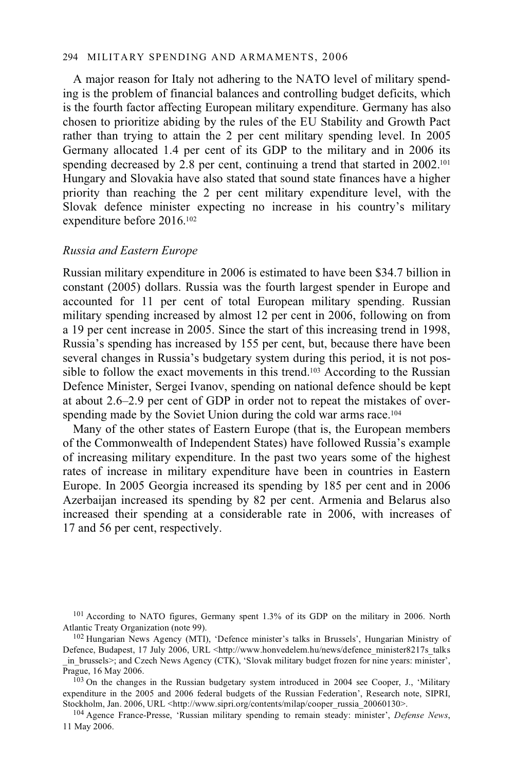### 294 MILITARY SPENDING AND ARMAMENTS, 2006

A major reason for Italy not adhering to the NATO level of military spending is the problem of financial balances and controlling budget deficits, which is the fourth factor affecting European military expenditure. Germany has also chosen to prioritize abiding by the rules of the EU Stability and Growth Pact rather than trying to attain the 2 per cent military spending level. In 2005 Germany allocated 1.4 per cent of its GDP to the military and in 2006 its spending decreased by 2.8 per cent, continuing a trend that started in 2002.<sup>101</sup> Hungary and Slovakia have also stated that sound state finances have a higher priority than reaching the 2 per cent military expenditure level, with the Slovak defence minister expecting no increase in his country's military expenditure before 2016.102

### *Russia and Eastern Europe*

Russian military expenditure in 2006 is estimated to have been \$34.7 billion in constant (2005) dollars. Russia was the fourth largest spender in Europe and accounted for 11 per cent of total European military spending. Russian military spending increased by almost 12 per cent in 2006, following on from a 19 per cent increase in 2005. Since the start of this increasing trend in 1998, Russia's spending has increased by 155 per cent, but, because there have been several changes in Russia's budgetary system during this period, it is not possible to follow the exact movements in this trend.<sup>103</sup> According to the Russian Defence Minister, Sergei Ivanov, spending on national defence should be kept at about 2.6–2.9 per cent of GDP in order not to repeat the mistakes of overspending made by the Soviet Union during the cold war arms race.<sup>104</sup>

Many of the other states of Eastern Europe (that is, the European members of the Commonwealth of Independent States) have followed Russia's example of increasing military expenditure. In the past two years some of the highest rates of increase in military expenditure have been in countries in Eastern Europe. In 2005 Georgia increased its spending by 185 per cent and in 2006 Azerbaijan increased its spending by 82 per cent. Armenia and Belarus also increased their spending at a considerable rate in 2006, with increases of 17 and 56 per cent, respectively.

<sup>101</sup> According to NATO figures, Germany spent 1.3% of its GDP on the military in 2006. North Atlantic Treaty Organization (note 99).<br><sup>102</sup> Hungarian News Agency (MTI), 'Defence minister's talks in Brussels', Hungarian Ministry of

Prague, 16 May 2006.<br><sup>103</sup> On the changes in the Russian budgetary system introduced in 2004 see Cooper, J., 'Military expenditure in the 2005 and 2006 federal budgets of the Russian Federation', Research note, SIPRI, Stockholm, Jan. 2006, URL <http://www.sipri.org/contents/milap/cooper russia 20060130>.

<sup>104</sup> Agence France-Presse, 'Russian military spending to remain steady: minister', *Defense News*, 11 May 2006.

Defence, Budapest, 17 July 2006, URL <http://www.honvedelem.hu/news/defence\_minister8217s\_talks in brussels>; and Czech News Agency (CTK), 'Slovak military budget frozen for nine years: minister',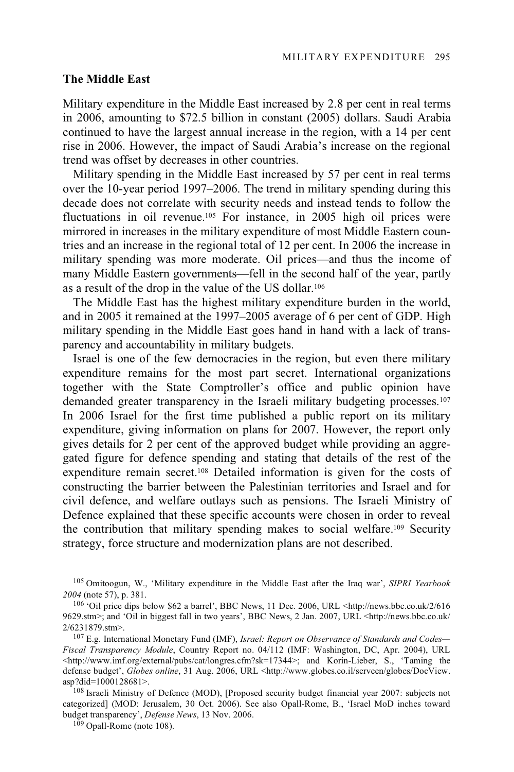### **The Middle East**

Military expenditure in the Middle East increased by 2.8 per cent in real terms in 2006, amounting to \$72.5 billion in constant (2005) dollars. Saudi Arabia continued to have the largest annual increase in the region, with a 14 per cent rise in 2006. However, the impact of Saudi Arabia's increase on the regional trend was offset by decreases in other countries.

Military spending in the Middle East increased by 57 per cent in real terms over the 10-year period 1997–2006. The trend in military spending during this decade does not correlate with security needs and instead tends to follow the fluctuations in oil revenue.105 For instance, in 2005 high oil prices were mirrored in increases in the military expenditure of most Middle Eastern countries and an increase in the regional total of 12 per cent. In 2006 the increase in military spending was more moderate. Oil prices—and thus the income of many Middle Eastern governments—fell in the second half of the year, partly as a result of the drop in the value of the US dollar.106

The Middle East has the highest military expenditure burden in the world, and in 2005 it remained at the 1997–2005 average of 6 per cent of GDP. High military spending in the Middle East goes hand in hand with a lack of transparency and accountability in military budgets.

Israel is one of the few democracies in the region, but even there military expenditure remains for the most part secret. International organizations together with the State Comptroller's office and public opinion have demanded greater transparency in the Israeli military budgeting processes.107 In 2006 Israel for the first time published a public report on its military expenditure, giving information on plans for 2007. However, the report only gives details for 2 per cent of the approved budget while providing an aggregated figure for defence spending and stating that details of the rest of the expenditure remain secret.108 Detailed information is given for the costs of constructing the barrier between the Palestinian territories and Israel and for civil defence, and welfare outlays such as pensions. The Israeli Ministry of Defence explained that these specific accounts were chosen in order to reveal the contribution that military spending makes to social welfare.109 Security strategy, force structure and modernization plans are not described.

105 Omitoogun, W., 'Military expenditure in the Middle East after the Iraq war', *SIPRI Yearbook <sup>2004</sup>* (note 57), p. 381. 106 'Oil price dips below \$62 a barrel', BBC News, 11 Dec. 2006, URL <http://news.bbc.co.uk/2/616

<sup>108</sup> Israeli Ministry of Defence (MOD), [Proposed security budget financial year 2007: subjects not categorized] (MOD: Jerusalem, 30 Oct. 2006). See also Opall-Rome, B., 'Israel MoD inches toward budget transparency', *Defense News*, 13 Nov. 2006. 109 Opall-Rome (note 108).

<sup>9629.</sup>stm>; and 'Oil in biggest fall in two years', BBC News, 2 Jan. 2007, URL <http://news.bbc.co.uk/  $2/6231879$ .stm>.

<sup>&</sup>lt;sup>107</sup> E.g. International Monetary Fund (IMF), *Israel: Report on Observance of Standards and Codes*— *Fiscal Transparency Module*, Country Report no. 04/112 (IMF: Washington, DC, Apr. 2004), URL  $\text{Khttp://www.imf.org/external/pubs/cat/longres.cfm?sk=17344>}$ ; and Korin-Lieber, S., 'Taming the defense budget', *Globes online*, 31 Aug. 2006, URL <http://www.globes.co.il/serveen/globes/DocView.<br>asp?did=1000128681>.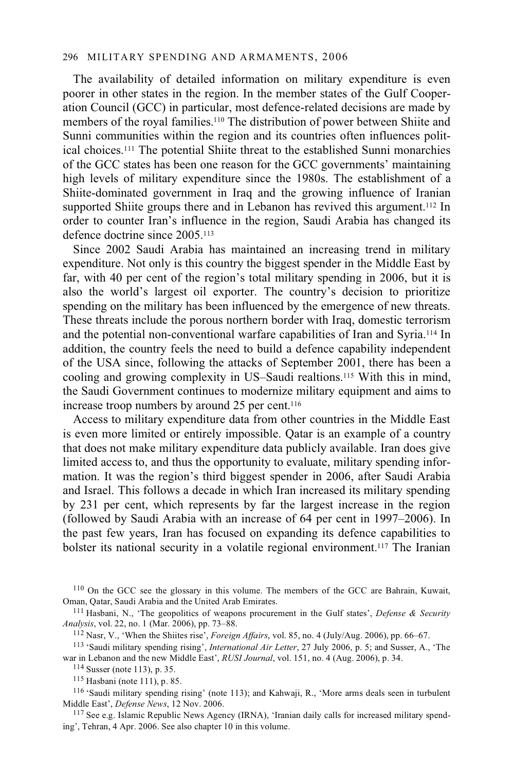#### 296 MILITARY SPENDING AND ARMAMENTS, 2006

The availability of detailed information on military expenditure is even poorer in other states in the region. In the member states of the Gulf Cooperation Council (GCC) in particular, most defence-related decisions are made by members of the royal families.110 The distribution of power between Shiite and Sunni communities within the region and its countries often influences political choices.111 The potential Shiite threat to the established Sunni monarchies of the GCC states has been one reason for the GCC governments' maintaining high levels of military expenditure since the 1980s. The establishment of a Shiite-dominated government in Iraq and the growing influence of Iranian supported Shiite groups there and in Lebanon has revived this argument.<sup>112</sup> In order to counter Iran's influence in the region, Saudi Arabia has changed its defence doctrine since 2005.113

Since 2002 Saudi Arabia has maintained an increasing trend in military expenditure. Not only is this country the biggest spender in the Middle East by far, with 40 per cent of the region's total military spending in 2006, but it is also the world's largest oil exporter. The country's decision to prioritize spending on the military has been influenced by the emergence of new threats. These threats include the porous northern border with Iraq, domestic terrorism and the potential non-conventional warfare capabilities of Iran and Syria.114 In addition, the country feels the need to build a defence capability independent of the USA since, following the attacks of September 2001, there has been a cooling and growing complexity in US–Saudi realtions.115 With this in mind, the Saudi Government continues to modernize military equipment and aims to increase troop numbers by around 25 per cent.<sup>116</sup>

Access to military expenditure data from other countries in the Middle East is even more limited or entirely impossible. Qatar is an example of a country that does not make military expenditure data publicly available. Iran does give limited access to, and thus the opportunity to evaluate, military spending information. It was the region's third biggest spender in 2006, after Saudi Arabia and Israel. This follows a decade in which Iran increased its military spending by 231 per cent, which represents by far the largest increase in the region (followed by Saudi Arabia with an increase of 64 per cent in 1997–2006). In the past few years, Iran has focused on expanding its defence capabilities to bolster its national security in a volatile regional environment.117 The Iranian

110 On the GCC see the glossary in this volume. The members of the GCC are Bahrain, Kuwait, Oman, Qatar, Saudi Arabia and the United Arab Emirates. 111 Hasbani, N., 'The geopolitics of weapons procurement in the Gulf states', *Defense & Security* 

*Analysis*, vol. 22, no. 1 (Mar. 2006), pp. 73–88.

<sup>112</sup> Nasr, V., 'When the Shiites rise', *Foreign Affairs*, vol. 85, no. 4 (July/Aug. 2006), pp. 66–67.<br><sup>113</sup> 'Saudi military spending rising', *International Air Letter*, 27 July 2006, p. 5; and Susser, A., 'The war in Le

<sup>114</sup> Susser (note 113), p. 35.<br><sup>115</sup> Hasbani (note 111), p. 85.<br><sup>116</sup> 'Saudi military spending rising' (note 113); and Kahwaji, R., 'More arms deals seen in turbulent<br>Middle East', *Defense News*, 12 Nov. 2006.

<sup>117</sup> See e.g. Islamic Republic News Agency (IRNA), 'Iranian daily calls for increased military spending', Tehran, 4 Apr. 2006. See also chapter 10 in this volume.